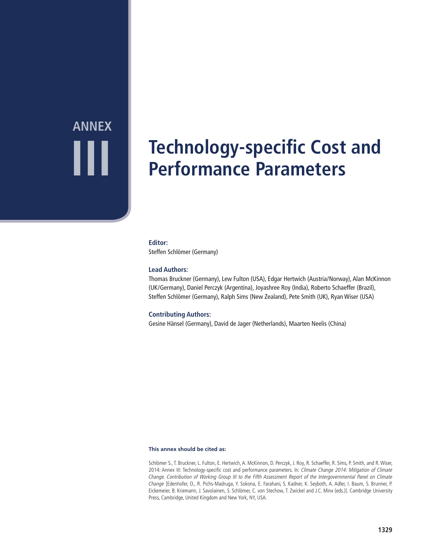# **III ANNEX**

## **Technology-specific Cost and Performance Parameters**

**Editor:**

Steffen Schlömer (Germany)

#### **Lead Authors:**

Thomas Bruckner (Germany), Lew Fulton (USA), Edgar Hertwich (Austria/Norway), Alan McKinnon (UK/Germany), Daniel Perczyk (Argentina), Joyashree Roy (India), Roberto Schaeffer (Brazil), Steffen Schlömer (Germany), Ralph Sims (New Zealand), Pete Smith (UK), Ryan Wiser (USA)

#### **Contributing Authors:**

Gesine Hänsel (Germany), David de Jager (Netherlands), Maarten Neelis (China)

**This annex should be cited as:**

Schlömer S., T. Bruckner, L. Fulton, E. Hertwich, A. McKinnon, D. Perczyk, J. Roy, R. Schaeffer, R. Sims, P. Smith, and R. Wiser, 2014: Annex III: Technology-specific cost and performance parameters. In: Climate Change 2014: Mitigation of Climate Change. Contribution of Working Group III to the Fifth Assessment Report of the Intergovernmental Panel on Climate Change [Edenhofer, O., R. Pichs-Madruga, Y. Sokona, E. Farahani, S. Kadner, K. Seyboth, A. Adler, I. Baum, S. Brunner, P. Eickemeier, B. Kriemann, J. Savolainen, S. Schlömer, C. von Stechow, T. Zwickel and J.C. Minx (eds.)]. Cambridge University Press, Cambridge, United Kingdom and New York, NY, USA.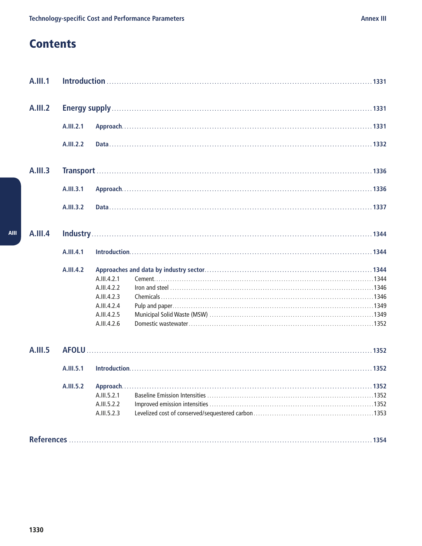## **Contents**

AIII

| <b>A.III.1</b> |           |             |  |
|----------------|-----------|-------------|--|
| A.III.2        |           |             |  |
|                | A.III.2.1 |             |  |
|                | A.III.2.2 |             |  |
| A.III.3        |           |             |  |
|                | A.III.3.1 |             |  |
|                | A.III.3.2 |             |  |
| A.III.4        |           |             |  |
|                | A.III.4.1 |             |  |
|                | A.III.4.2 |             |  |
|                |           | A.III.4.2.1 |  |
|                |           | A.III.4.2.2 |  |
|                |           | A.III.4.2.3 |  |
|                |           | A.III.4.2.4 |  |
|                |           | A.III.4.2.5 |  |
|                |           | A.III.4.2.6 |  |
| <b>A.III.5</b> |           |             |  |
|                | A.III.5.1 |             |  |
|                | A.III.5.2 |             |  |
|                |           | A.III.5.2.1 |  |
|                |           | A.III.5.2.2 |  |
|                |           | A.III.5.2.3 |  |
|                |           |             |  |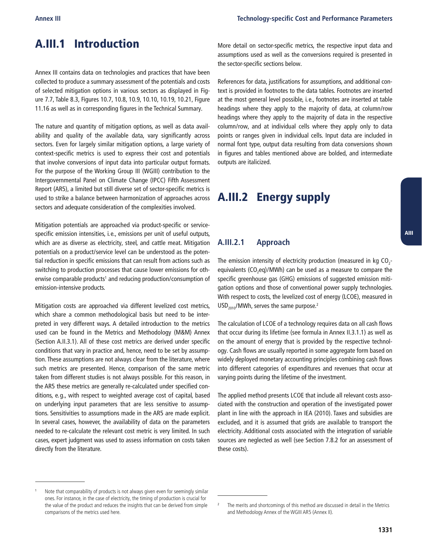## <span id="page-2-0"></span>A.III.1 Introduction

Annex III contains data on technologies and practices that have been collected to produce a summary assessment of the potentials and costs of selected mitigation options in various sectors as displayed in Figure 7.7, Table 8.3, Figures 10.7, 10.8, 10.9, 10.10, 10.19, 10.21, Figure 11.16 as well as in corresponding figures in the Technical Summary.

The nature and quantity of mitigation options, as well as data availability and quality of the available data, vary significantly across sectors. Even for largely similar mitigation options, a large variety of context-specific metrics is used to express their cost and potentials that involve conversions of input data into particular output formats. For the purpose of the Working Group III (WGIII) contribution to the Intergovernmental Panel on Climate Change (IPCC) Fifth Assessment Report (AR5), a limited but still diverse set of sector-specific metrics is used to strike a balance between harmonization of approaches across sectors and adequate consideration of the complexities involved.

Mitigation potentials are approached via product-specific or servicespecific emission intensities, i.e., emissions per unit of useful outputs, which are as diverse as electricity, steel, and cattle meat. Mitigation potentials on a product/service level can be understood as the potential reduction in specific emissions that can result from actions such as switching to production processes that cause lower emissions for otherwise comparable products<sup>1</sup> and reducing production/consumption of emission-intensive products.

Mitigation costs are approached via different levelized cost metrics, which share a common methodological basis but need to be interpreted in very different ways. A detailed introduction to the metrics used can be found in the Metrics and Methodology (M&M) Annex (Section A.II.3.1). All of these cost metrics are derived under specific conditions that vary in practice and, hence, need to be set by assumption. These assumptions are not always clear from the literature, where such metrics are presented. Hence, comparison of the same metric taken from different studies is not always possible. For this reason, in the AR5 these metrics are generally re-calculated under specified conditions, e.g., with respect to weighted average cost of capital, based on underlying input parameters that are less sensitive to assumptions. Sensitivities to assumptions made in the AR5 are made explicit. In several cases, however, the availability of data on the parameters needed to re-calculate the relevant cost metric is very limited. In such cases, expert judgment was used to assess information on costs taken directly from the literature.

More detail on sector-specific metrics, the respective input data and assumptions used as well as the conversions required is presented in the sector-specific sections below.

References for data, justifications for assumptions, and additional context is provided in footnotes to the data tables. Footnotes are inserted at the most general level possible, i.e., footnotes are inserted at table headings where they apply to the majority of data, at column/row headings where they apply to the majority of data in the respective column/row, and at individual cells where they apply only to data points or ranges given in individual cells. Input data are included in normal font type, output data resulting from data conversions shown in figures and tables mentioned above are bolded, and intermediate outputs are italicized.

## A.III.2 Energy supply

#### **A.III.2.1 Approach**

The emission intensity of electricity production (measured in  $kg CO<sub>2</sub>$ equivalents  $(CO_2eq)/MWh$ ) can be used as a measure to compare the specific greenhouse gas (GHG) emissions of suggested emission mitigation options and those of conventional power supply technologies. With respect to costs, the levelized cost of energy (LCOE), measured in  $\text{USD}_{2010}/\text{MWh}$ , serves the same purpose.<sup>2</sup>

The calculation of LCOE of a technology requires data on all cash flows that occur during its lifetime (see formula in Annex II.3.1.1) as well as on the amount of energy that is provided by the respective technology. Cash flows are usually reported in some aggregate form based on widely deployed monetary accounting principles combining cash flows into different categories of expenditures and revenues that occur at varying points during the lifetime of the investment.

The applied method presents LCOE that include all relevant costs associated with the construction and operation of the investigated power plant in line with the approach in IEA (2010). Taxes and subsidies are excluded, and it is assumed that grids are available to transport the electricity. Additional costs associated with the integration of variable sources are neglected as well (see Section 7.8.2 for an assessment of these costs).

Note that comparability of products is not always given even for seemingly similar ones. For instance, in the case of electricity, the timing of production is crucial for the value of the product and reduces the insights that can be derived from simple comparisons of the metrics used here.

The merits and shortcomings of this method are discussed in detail in the Metrics and Methodology Annex of the WGIII AR5 (Annex II).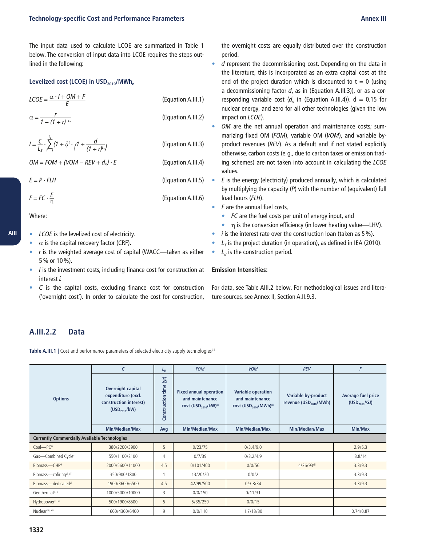<span id="page-3-0"></span>The input data used to calculate LCOE are summarized in Table 1 below. The conversion of input data into LCOE requires the steps outlined in the following:

#### **Levelized cost (LCOE) in USD2010/MWh<sup>e</sup>**

$$
LCOE = \frac{\alpha \cdot l + OM + F}{E}
$$
 (Equation A.III.1)  

$$
\alpha = \frac{r}{I} \qquad (Equation A.III.2)
$$

$$
\alpha = \frac{r}{1 - (1 + r)^{-L_r}}
$$
 (Equation A.III.2)

$$
I = \frac{C}{L_B} \cdot \sum_{t=1}^{L_B} (1 + i)^t \cdot (1 + \frac{d}{(1 + t)^{L_t}})
$$
 (Equation A.III.3)

 $OM = FOM + (VOM - REV + d<sub>v</sub>) \cdot E$  (Equation A.III.4)

$$
E = P \cdot F L H
$$
 (Equation A.111.5)

$$
F = FC \cdot \frac{E}{\eta}
$$
 (Equation A.III.6)

Where:

AIII

- LCOE is the levelized cost of electricity.
	- $\alpha$  is the capital recovery factor (CRF).
- $r$  is the weighted average cost of capital (WACC—taken as either 5% or 10%).
- *I* is the investment costs, including finance cost for construction at interest i.
- C is the capital costs, excluding finance cost for construction ('overnight cost'). In order to calculate the cost for construction,

the overnight costs are equally distributed over the construction period.

- $\bullet$  d represent the decommissioning cost. Depending on the data in the literature, this is incorporated as an extra capital cost at the end of the project duration which is discounted to  $t = 0$  (using a decommissioning factor  $d$ , as in (Equation A.III.3)), or as a corresponding variable cost  $(d_v$  in (Equation A.III.4)).  $d = 0.15$  for nuclear energy, and zero for all other technologies (given the low impact on *LCOE*).
- $OM$  are the net annual operation and maintenance costs; summarizing fixed OM (FOM), variable OM (VOM), and variable byproduct revenues (REV). As a default and if not stated explicitly otherwise, carbon costs (e.g., due to carbon taxes or emission trading schemes) are not taken into account in calculating the LCOE values.
- $\bullet$  E is the energy (electricity) produced annually, which is calculated by multiplying the capacity (P) with the number of (equivalent) full load hours (FLH).
- $\bullet$  F are the annual fuel costs.
	- FC are the fuel costs per unit of energy input, and
	- $\bullet$   $\eta$  is the conversion efficiency (in lower heating value—LHV).
- $i$  is the interest rate over the construction loan (taken as 5%).
- $L<sub>T</sub>$  is the project duration (in operation), as defined in IEA (2010).
- $L_B$  is the construction period.

#### **Emission Intensities:**

For data, see Table AIII.2 below. For methodological issues and literature sources, see Annex II, Section A.II.9.3.

#### **A.III.2.2 Data**

Table A.III.1 | Cost and performance parameters of selected electricity supply technologies<sup>i ii</sup>

|                                                      | C                                                                                      | $L_B$                  | <b>FOM</b>                                                                                        | <b>VOM</b>                                                                         | <b>REV</b>                                                | F                                       |
|------------------------------------------------------|----------------------------------------------------------------------------------------|------------------------|---------------------------------------------------------------------------------------------------|------------------------------------------------------------------------------------|-----------------------------------------------------------|-----------------------------------------|
| <b>Options</b>                                       | Overnight capital<br>expenditure (excl.<br>construction interest)<br>$(USD_{2010}/kW)$ | Construction time (yr) | <b>Fixed annual operation</b><br>and maintenance<br>cost (USD <sub>2010</sub> /kW) <sup>iii</sup> | <b>Variable operation</b><br>and maintenance<br>cost (USD <sub>2010</sub> /MWh)iii | Variable by-product<br>revenue (USD <sub>2010</sub> /MWh) | Average fuel price<br>$(USD_{2010}/GU)$ |
|                                                      | Min/Median/Max<br>Min/Median/Max<br>Avg                                                |                        | Min/Median/Max                                                                                    | Min/Median/Max                                                                     | Min/Max                                                   |                                         |
| <b>Currently Commercially Available Technologies</b> |                                                                                        |                        |                                                                                                   |                                                                                    |                                                           |                                         |
| $Coal-PC^iv$                                         | 380/2200/3900                                                                          | 5                      | 0/23/75                                                                                           | 0/3.4/9.0                                                                          |                                                           | 2.9/5.3                                 |
| Gas-Combined Cycle <sup>v</sup>                      | 550/1100/2100                                                                          | 4                      | 0/7/39                                                                                            | 0/3.2/4.9                                                                          |                                                           | 3.8/14                                  |
| Biomass-CHPvi                                        | 2000/5600/11000                                                                        | 4.5                    | 0/101/400                                                                                         | 0/0/56                                                                             | 4/26/93vii                                                | 3.3/9.3                                 |
| Biomass-cofiring <sup>vi</sup> , <sup>viii</sup>     | 350/900/1800                                                                           |                        | 13/20/20                                                                                          | 0/0/2                                                                              |                                                           | 3.3/9.3                                 |
| Biomass-dedicatedvi                                  | 1900/3600/6500                                                                         | 4.5                    | 42/99/500                                                                                         | 0/3.8/34                                                                           |                                                           | 3.3/9.3                                 |
| Geothermal <sup>ix, x</sup>                          | 1000/5000/10000                                                                        | 3                      | 0/0/150                                                                                           | 0/11/31                                                                            |                                                           |                                         |
| Hydropower <sup>xi, xii</sup>                        | 500/1900/8500                                                                          | 5                      | 5/35/250                                                                                          | 0/0/15                                                                             |                                                           |                                         |
| Nuclear <sup>xiii, xiv</sup>                         | 1600/4300/6400                                                                         | 9                      | 0/0/110                                                                                           | 1.7/13/30                                                                          |                                                           | 0.74/0.87                               |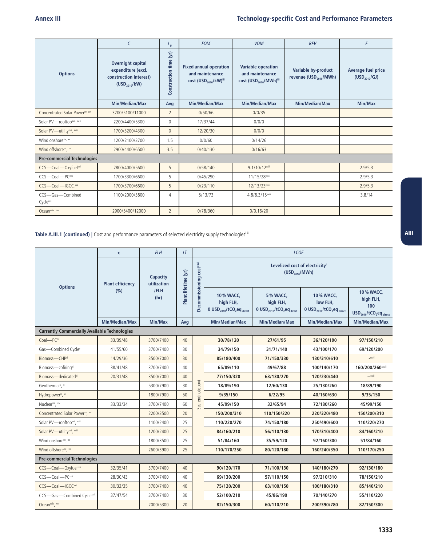|                                             | $\epsilon$<br><b>VOM</b><br><b>FOM</b><br>$L_{\rm R}$                                         |                        | <b>REV</b>                                                                                        | F                                                                                  |                                                           |                                         |
|---------------------------------------------|-----------------------------------------------------------------------------------------------|------------------------|---------------------------------------------------------------------------------------------------|------------------------------------------------------------------------------------|-----------------------------------------------------------|-----------------------------------------|
| <b>Options</b>                              | <b>Overnight capital</b><br>expenditure (excl.<br>construction interest)<br>$(USD_{2010}/kW)$ | Construction time (yr) | <b>Fixed annual operation</b><br>and maintenance<br>cost (USD <sub>2010</sub> /kW) <sup>iii</sup> | <b>Variable operation</b><br>and maintenance<br>cost (USD <sub>2010</sub> /MWh)iii | Variable by-product<br>revenue (USD <sub>2010</sub> /MWh) | Average fuel price<br>$(USD_{2010}/GJ)$ |
|                                             | Min/Median/Max                                                                                | Avg                    | Min/Median/Max                                                                                    | Min/Median/Max                                                                     | Min/Median/Max                                            | Min/Max                                 |
| Concentrated Solar Power <sup>xv, xvi</sup> | 3700/5100/11000                                                                               | $\overline{2}$         | 0/50/66                                                                                           | 0/0/35                                                                             |                                                           |                                         |
| Solar PV-rooftopxvii, xviii                 | 2200/4400/5300                                                                                | $\Omega$               | 17/37/44                                                                                          | 0/0/0                                                                              |                                                           |                                         |
| Solar PV-utility <sup>xvii</sup> , xviii    | 1700/3200/4300                                                                                | $\Omega$               | 12/20/30                                                                                          | 0/0/0                                                                              |                                                           |                                         |
| Wind onshorexix, xx                         | 1200/2100/3700                                                                                | 1.5                    | 0/0/60                                                                                            | 0/14/26                                                                            |                                                           |                                         |
| Wind offshorexix, xxi                       | 2900/4400/6500                                                                                | 3.5                    | 0/40/130                                                                                          | 0/16/63                                                                            |                                                           |                                         |
| <b>Pre-commercial Technologies</b>          |                                                                                               |                        |                                                                                                   |                                                                                    |                                                           |                                         |
| CCS-Coal-Oxyfuelxxii                        | 2800/4000/5600                                                                                | 5                      | 0/58/140                                                                                          | 9.1/10/12 <sup>xxiii</sup>                                                         |                                                           | 2.9/5.3                                 |
| CCS-Coal-PC <sup>xxii</sup>                 | 1700/3300/6600                                                                                | 5                      | 0/45/290                                                                                          | 11/15/28 <sup>xxiii</sup>                                                          |                                                           | 2.9/5.3                                 |
| CCS-Coal-IGCC, xxii                         | 1700/3700/6600                                                                                | 5                      | 0/23/110                                                                                          | 12/13/23xxiii                                                                      |                                                           | 2.9/5.3                                 |
| CCS-Gas-Combined<br>Cyclexxii               | 1100/2000/3800                                                                                | 4                      | 5/13/73                                                                                           | 4.8/8.3/15 <sup>xxiii</sup>                                                        |                                                           | 3.8/14                                  |
| Ocean <sup>xxiv, xxv</sup>                  | 2900/5400/12000                                                                               | $\overline{2}$         | 0/78/360                                                                                          | 0/0.16/20                                                                          |                                                           |                                         |

Table A.III.1 (continued) | Cost and performance parameters of selected electricity supply technologiesi, ii

|                                                      | $\eta$                  | <b>FLH</b>                     | LT                  |                          |                                                                        | <b>LCOE</b>                                                                  |                                                                            |                                                                                              |  |  |
|------------------------------------------------------|-------------------------|--------------------------------|---------------------|--------------------------|------------------------------------------------------------------------|------------------------------------------------------------------------------|----------------------------------------------------------------------------|----------------------------------------------------------------------------------------------|--|--|
| <b>Options</b>                                       | <b>Plant efficiency</b> | <b>Capacity</b><br>utilization | Plant lifetime (yr) | Decommissioning costxxvi | Levelized cost of electricity<br>$(USD_{2010}/MWh)$                    |                                                                              |                                                                            |                                                                                              |  |  |
|                                                      | (%)                     | /FLH<br>(hr)                   |                     |                          | 10% WACC.<br>high FLH,<br>0 $\text{USD}_{2010}/\text{tCO}_2$ eq direct | <b>5% WACC.</b><br>high FLH,<br>0 $\text{USD}_{2010}/\text{tCO}_2$ eq direct | 10% WACC.<br>low FLH,<br>0 USD <sub>2010</sub> /tCO <sub>2</sub> eq direct | 10% WACC.<br>high FLH,<br>100<br>$\text{USD}_{2010}/\text{tCO}_{2}\text{eq}_{\text{direct}}$ |  |  |
|                                                      | Min/Median/Max          | Min/Max                        | Avq                 |                          | Min/Median/Max                                                         | Min/Median/Max                                                               | <b>Min/Median/Max</b>                                                      | Min/Median/Max                                                                               |  |  |
| <b>Currently Commercially Available Technologies</b> |                         |                                |                     |                          |                                                                        |                                                                              |                                                                            |                                                                                              |  |  |
| $Coal-PC^W$                                          | 33/39/48                | 3700/7400                      | 40                  |                          | 30/78/120                                                              | 27/61/95                                                                     | 36/120/190                                                                 | 97/150/210                                                                                   |  |  |
| Gas-Combined Cyclev                                  | 41/55/60                | 3700/7400                      | 30                  |                          | 34/79/150                                                              | 31/71/140                                                                    | 43/100/170                                                                 | 69/120/200                                                                                   |  |  |
| Biomass-CHPvi                                        | 14/29/36                | 3500/7000                      | 30                  |                          | 85/180/400                                                             | 71/150/330                                                                   | 130/310/610                                                                | $x \in \mathbb{R}$                                                                           |  |  |
| Biomass-cofiring <sup>vi</sup>                       | 38/41/48                | 3700/7400                      | 40                  |                          | 65/89/110                                                              | 49/67/88                                                                     | 100/140/170                                                                | 160/200/260                                                                                  |  |  |
| Biomass-dedicatedvi                                  | 20/31/48                | 3500/7000                      | 40                  |                          | 77/150/320                                                             | 63/130/270                                                                   | 120/230/440                                                                | $x^2$                                                                                        |  |  |
| Geothermal <sup>ix</sup> , x                         |                         | 5300/7900                      | 30                  |                          | 18/89/190                                                              | 12/60/130                                                                    | 25/130/260                                                                 | 18/89/190                                                                                    |  |  |
| Hydropower <sup>xi</sup> , xii                       |                         | 1800/7900                      | 50                  | See endnote xxvi         | 9/35/150                                                               | 6/22/95                                                                      | 40/160/630                                                                 | 9/35/150                                                                                     |  |  |
| Nuclear <sup>xiii</sup> , xiv                        | 33/33/34                | 3700/7400                      | 60                  |                          | 45/99/150                                                              | 32/65/94                                                                     | 72/180/260                                                                 | 45/99/150                                                                                    |  |  |
| Concentrated Solar Power <sup>xv</sup> , xvi         |                         | 2200/3500                      | 20                  |                          | 150/200/310                                                            | 110/150/220                                                                  | 220/320/480                                                                | 150/200/310                                                                                  |  |  |
| Solar PV-rooftopxvii, xviii                          |                         | 1100/2400                      | 25                  |                          | 110/220/270                                                            | 74/150/180                                                                   | 250/490/600                                                                | 110/220/270                                                                                  |  |  |
| Solar PV-utility <sup>xvii</sup> , xviii             |                         | 1200/2400                      | 25                  |                          | 84/160/210                                                             | 56/110/130                                                                   | 170/310/400                                                                | 84/160/210                                                                                   |  |  |
| Wind onshore <sup>xx</sup> , xx                      |                         | 1800/3500                      | 25                  |                          | 51/84/160                                                              | 35/59/120                                                                    | 92/160/300                                                                 | 51/84/160                                                                                    |  |  |
| Wind offshore <sup>xxi</sup> , xx                    |                         | 2600/3900                      | 25                  |                          | 110/170/250                                                            | 80/120/180                                                                   | 160/240/350                                                                | 110/170/250                                                                                  |  |  |
| <b>Pre-commercial Technologies</b>                   |                         |                                |                     |                          |                                                                        |                                                                              |                                                                            |                                                                                              |  |  |
| CCS-Coal-Oxyfuelxxii                                 | 32/35/41                | 3700/7400                      | 40                  |                          | 90/120/170                                                             | 71/100/130                                                                   | 140/180/270                                                                | 92/130/180                                                                                   |  |  |
| CCS-Coal-PC <sup>xxii</sup>                          | 28/30/43                | 3700/7400                      | 40                  |                          | 69/130/200                                                             | 57/110/150                                                                   | 97/210/310                                                                 | 78/150/210                                                                                   |  |  |
| CCS-Coal-IGCCxxii                                    | 30/32/35                | 3700/7400                      | 40                  |                          | 75/120/200                                                             | 63/100/150                                                                   | 100/180/310                                                                | 85/140/210                                                                                   |  |  |
| CCS-Gas-Combined Cyclexxii                           | 37/47/54                | 3700/7400                      | 30                  |                          | 52/100/210                                                             | 45/86/190                                                                    | 70/140/270                                                                 | 55/110/220                                                                                   |  |  |
| Ocean <sup>xxiv</sup> , xxv                          |                         | 2000/5300                      | 20                  |                          | 82/150/300                                                             | 60/110/210                                                                   | 200/390/780                                                                | 82/150/300                                                                                   |  |  |

AIII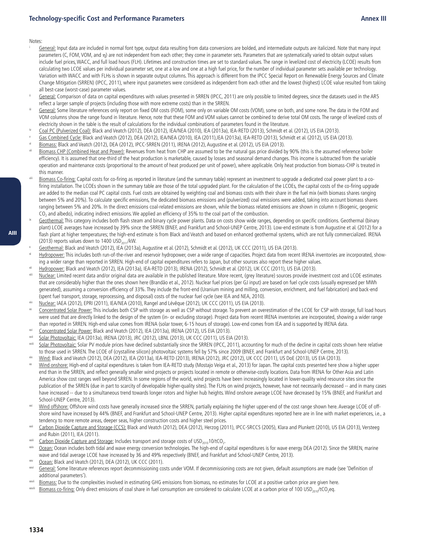#### **Technology-specific Cost and Performance Parameters Annex III**

#### Notes:

- General: Input data are included in normal font type, output data resulting from data conversions are bolded, and intermediate outputs are italicized. Note that many input parameters (C, FOM, VOM, and η) are not independent from each other; they come in parameter sets. Parameters that are systematically varied to obtain output values include fuel prices, WACC, and full load hours (FLH). Lifetimes and construction times are set to standard values. The range in levelized cost of electricity (LCOE) results from calculating two LCOE values per individual parameter set, one at a low and one at a high fuel price, for the number of individual parameter sets available per technology. Variation with WACC and with FLHs is shown in separate output columns. This approach is different from the IPCC Special Report on Renewable Energy Sources and Climate Change Mitigation (SRREN) (IPCC, 2011), where input parameters were considered as independent from each other and the lowest (highest) LCOE value resulted from taking all best-case (worst-case) parameter values.
- General: Comparison of data on capital expenditures with values presented in SRREN (IPCC, 2011) are only possible to limited degrees, since the datasets used in the AR5 reflect a larger sample of projects (including those with more extreme costs) than in the SRREN.
- General: Some literature references only report on fixed OM costs (FOM), some only on variable OM costs (VOM), some on both, and some none. The data in the FOM and VOM columns show the range found in literature. Hence, note that these FOM and VOM values cannot be combined to derive total OM costs. The range of levelized costs of electricity shown in the table is the result of calculations for the individual combinations of parameters found in the literature.
- Coal PC (Pulverized Coal): Black and Veatch (2012), DEA (2012), IEA/NEA (2010), IEA (2013a), IEA-RETD (2013), Schmidt et al. (2012), US EIA (2013).
- Gas Combined Cycle: Black and Veatch (2012), DEA (2012), IEA/NEA (2010), IEA (2011), IEA (2013a), IEA-RETD (2013), Schmidt et al. (2012), US EIA (2013).
- Biomass: Black and Veatch (2012), DEA (2012), IPCC-SRREN (2011), IRENA (2012), Augustine et al. (2012), US EIA (2013).
- Biomass CHP (Combined Heat and Power): Revenues from heat from CHP are assumed to be the natural gas price divided by 90% (this is the assumed reference boiler efficiency). It is assumed that one-third of the heat production is marketable, caused by losses and seasonal demand changes. This income is subtracted from the variable operation and maintenance costs (proportional to the amount of heat produced per unit of power), where applicable. Only heat production from biomass-CHP is treated in this manner.
- Biomass Co-firing: Capital costs for co-firing as reported in literature (and the summary table) represent an investment to upgrade a dedicated coal power plant to a cofiring installation. The LCOEs shown in the summary table are those of the total upgraded plant. For the calculation of the LCOEs, the capital costs of the co-firing upgrade are added to the median coal PC capital costs. Fuel costs are obtained by weighting coal and biomass costs with their share in the fuel mix (with biomass shares ranging between 5% and 20%). To calculate specific emissions, the dedicated biomass emissions and (pulverized) coal emissions were added, taking into account biomass shares ranging between 5% and 20%. In the direct emissions coal-related emissions are shown, while the biomass related emissions are shown in column n (Biogenic, geogenic  $CO<sub>2</sub>$  and albedo), indicating indirect emissions. We applied an efficiency of 35% to the coal part of the combustion.
- Geothermal: This category includes both flash steam and binary cycle power plants. Data on costs show wide ranges, depending on specific conditions. Geothermal (binary plant) LCOE averages have increased by 39% since the SRREN (BNEF, and Frankfurt and School-UNEP Centre, 2013). Low-end estimate is from Augustine et al. (2012) for a flash plant at higher temperatures; the high-end estimate is from Black and Veatch and based on enhanced geothermal systems, which are not fully commercialized. IRENA (2013) reports values down to 1400  $USD_{2011}/kW$ .
- Geothermal: Black and Veatch (2012), IEA (2013a), Augustine et al. (2012), Schmidt et al. (2012), UK CCC (2011), US EIA (2013).
- Hydropower: This includes both run-of-the-river and reservoir hydropower, over a wide range of capacities. Project data from recent IRENA inventories are incorporated, showing a wider range than reported in SRREN. High-end of capital expenditures refers to Japan, but other sources also report these higher values.
- Hydropower: Black and Veatch (2012), IEA (2013a), IEA-RETD (2013), IRENA (2012), Schmidt et al. (2012), UK CCC (2011), US EIA (2013). Nuclear: Limited recent data and/or original data are available in the published literature. More recent, (grey literature) sources provide investment cost and LCOE estimates that are considerably higher than the ones shown here (Brandão et al., 2012). Nuclear fuel prices (per GJ input) are based on fuel cycle costs (usually expressed per MWh generated), assuming a conversion efficiency of 33%. They include the front-end (Uranium mining and milling, conversion, enrichment, and fuel fabrication) and back-end (spent fuel transport, storage, reprocessing, and disposal) costs of the nuclear fuel cycle (see IEA and NEA, 2010).
- xiv Nuclear: IAEA (2012), EPRI (2011), IEA/NEA (2010), Rangel and Lévêque (2012), UK CCC (2011), US EIA (2013).
- Concentrated Solar Power: This includes both CSP with storage as well as CSP without storage. To prevent an overestimation of the LCOE for CSP with storage, full load hours were used that are directly linked to the design of the system (in- or excluding storage). Project data from recent IRENA inventories are incorporated, showing a wider range than reported in SRREN. High-end value comes from IRENA (solar tower, 6-15 hours of storage). Low-end comes from IEA and is supported by IRENA data.
- Concentrated Solar Power: Black and Veatch (2012), IEA (2013a), IRENA (2012), US EIA (2013).
- Solar Photovoltaic: IEA (2013a), IRENA (2013), JRC (2012), LBNL (2013), UK CCC (2011), US EIA (2013).
- Solar Photovoltaic: Solar PV module prices have declined substantially since the SRREN (IPCC, 2011), accounting for much of the decline in capital costs shown here relative to those used in SRREN. The LCOE of (crystalline silicon) photovoltaic systems fell by 57% since 2009 (BNEF, and Frankfurt and School-UNEP Centre, 2013).
- xix Wind: Black and Veatch (2012), DEA (2012), IEA (2013a), IEA-RETD (2013), IRENA (2012), JRC (2012), UK CCC (2011), US DoE (2013), US EIA (2013).
- <sup>xx</sup> Wind onshore: High-end of capital expenditures is taken from IEA-RETD study (Mostajo Veiga et al., 2013) for Japan. The capital costs presented here show a higher upper end than in the SRREN, and reflect generally smaller wind projects or projects located in remote or otherwise-costly locations. Data from IRENA for Other Asia and Latin America show cost ranges well beyond SRREN. In some regions of the world, wind projects have been increasingly located in lower-quality wind resource sites since the publication of the SRREN (due in part to scarcity of developable higher-quality sites). The FLHs on wind projects, however, have not necessarily decreased -- and in many cases have increased -- due to a simultaneous trend towards longer rotors and higher hub heights. Wind onshore average LCOE have decreased by 15% (BNEF, and Frankfurt and School-UNEP Centre, 2013).
- Wind offshore: Offshore wind costs have generally increased since the SRREN, partially explaining the higher upper-end of the cost range shown here. Average LCOE of offshore wind have increased by 44% (BNEF, and Frankfurt and School-UNEP Centre, 2013). Higher capital expenditures reported here are in line with market experiences, i.e., a
- tendency to more remote areas, deeper seas, higher construction costs and higher steel prices.<br>Carbon Dioxide Capture and Storage (CCS): Black and Veatch (2012), DEA (2012), Herzog (2011), IPCC-SRCCS (2005), Klara and Plun and Rubin (2011), IEA (2011).
- Carbon Dioxide Capture and Storage: Includes transport and storage costs of USD<sub>2010</sub>10/tCO<sub>2</sub>.
- Ocean: Ocean includes both tidal and wave energy conversion technologies. The high-end of capital expenditures is for wave energy DEA (2012). Since the SRREN, marine wave and tidal average LCOE have increased by 36 and 49% respectively (BNEF, and Frankfurt and School-UNEP Centre, 2013).
- Ocean: Black and Veatch (2012), DEA (2012), UK CCC (2011).
- General: Some literature references report decommissioning costs under VOM. If decommissioning costs are not given, default assumptions are made (see 'Definition of additional parameters').
- <sup>xxvii</sup> Biomass: Due to the complexities involved in estimating GHG emissions from biomass, no estimates for LCOE at a positive carbon price are given here.
- <sup>xxviii</sup> Biomass co-firing: Only direct emissions of coal share in fuel consumption are considered to calculate LCOE at a carbon price of 100 USD<sub>2010</sub>/tCO<sub>2</sub>eq.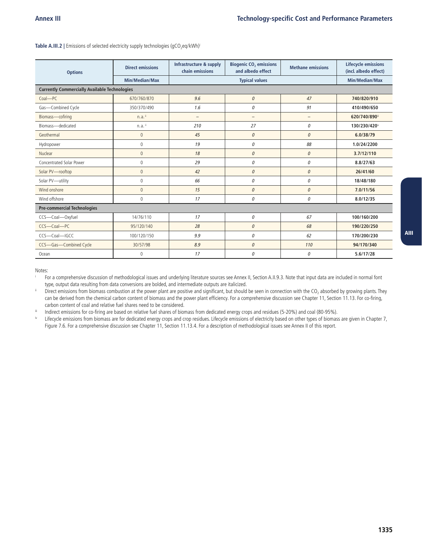| <b>Options</b>                                       | <b>Direct emissions</b> | Infrastructure & supply<br>chain emissions | <b>Biogenic CO<sub>2</sub></b> emissions<br>and albedo effect | <b>Methane emissions</b> | Lifecycle emissions<br>(incl. albedo effect) |
|------------------------------------------------------|-------------------------|--------------------------------------------|---------------------------------------------------------------|--------------------------|----------------------------------------------|
|                                                      | Min/Median/Max          |                                            | <b>Typical values</b>                                         |                          | Min/Median/Max                               |
| <b>Currently Commercially Available Technologies</b> |                         |                                            |                                                               |                          |                                              |
| Coal—PC                                              | 670/760/870             | 9.6                                        | 0                                                             | 47                       | 740/820/910                                  |
| Gas-Combined Cycle                                   | 350/370/490             | 1.6                                        | 0                                                             | 91                       | 410/490/650                                  |
| Biomass-cofiring                                     | n.a. <sup>ii</sup>      | $\qquad \qquad -$                          | $\overline{\phantom{m}}$                                      | $\overline{\phantom{a}}$ | 620/740/890iii                               |
| Biomass-dedicated                                    | n.a.                    | 210                                        | 27                                                            | 0                        | 130/230/420                                  |
| Geothermal                                           | $\mathbf{0}$            | 45                                         | 0                                                             | $\theta$                 | 6.0/38/79                                    |
| Hydropower                                           | $\mathbf 0$             | 19                                         | 0                                                             | 88                       | 1.0/24/2200                                  |
| Nuclear                                              | $\mathbf 0$             | 18                                         | 0                                                             | 0                        | 3.7/12/110                                   |
| Concentrated Solar Power                             | $\mathbf 0$             | 29                                         | 0                                                             | 0                        | 8.8/27/63                                    |
| Solar PV-rooftop                                     | $\mathbf{0}$            | 42                                         | 0                                                             | $\theta$                 | 26/41/60                                     |
| Solar PV-utility                                     | $\mathbf 0$             | 66                                         | 0                                                             | 0                        | 18/48/180                                    |
| Wind onshore                                         | $\mathbf{0}$            | 15                                         | $\theta$                                                      | $\theta$                 | 7.0/11/56                                    |
| Wind offshore                                        | $\mathbf 0$             | 17                                         | 0                                                             | 0                        | 8.0/12/35                                    |
| <b>Pre-commercial Technologies</b>                   |                         |                                            |                                                               |                          |                                              |
| CCS-Coal-Oxyfuel                                     | 14/76/110               | 17                                         | 0                                                             | 67                       | 100/160/200                                  |
| CCS-Coal-PC                                          | 95/120/140              | 28                                         | 0                                                             | 68                       | 190/220/250                                  |
| CCS-Coal-IGCC                                        | 100/120/150             | 9.9                                        | 0                                                             | 62                       | 170/200/230                                  |
| CCS-Gas-Combined Cycle                               | 30/57/98                | 8.9                                        | 0                                                             | 110                      | 94/170/340                                   |
| Ocean                                                | $\mathbf{0}$            | 17                                         | 0                                                             | 0                        | 5.6/17/28                                    |

Table A.III.2 | Emissions of selected electricity supply technologies (gCO<sub>2</sub>eq/kWh)<sup>i</sup>

Notes:

For a comprehensive discussion of methodological issues and underlying literature sources see Annex II, Section A.II.9.3. Note that input data are included in normal font type, output data resulting from data conversions are bolded, and intermediate outputs are italicized.

<sup>ii</sup> Direct emissions from biomass combustion at the power plant are positive and significant, but should be seen in connection with the CO<sub>2</sub> absorbed by growing plants. They can be derived from the chemical carbon content of biomass and the power plant efficiency. For a comprehensive discussion see Chapter 11, Section 11.13. For co-firing, carbon content of coal and relative fuel shares need to be considered.

iii Indirect emissions for co-firing are based on relative fuel shares of biomass from dedicated energy crops and residues (5-20%) and coal (80-95%).<br>iv Lifecycle emissions from biomass are for dedicated energy crops and c Figure 7.6. For a comprehensive discussion see Chapter 11, Section 11.13.4. For a description of methodological issues see Annex II of this report.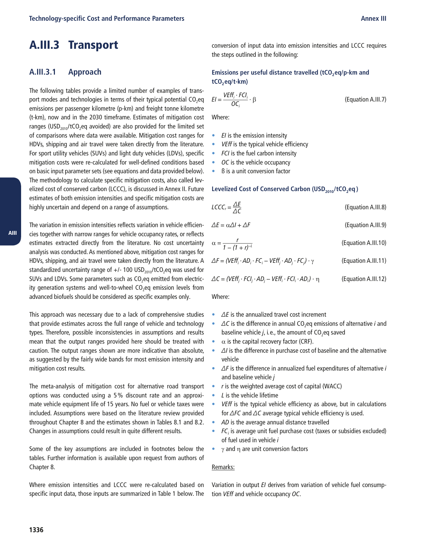## <span id="page-7-0"></span>A.III.3 Transport

#### **A.III.3.1 Approach**

The following tables provide a limited number of examples of transport modes and technologies in terms of their typical potential  $CO<sub>2</sub>$ eg emissions per passenger kilometre (p-km) and freight tonne kilometre (t-km), now and in the 2030 timeframe. Estimates of mitigation cost ranges (USD $_{2010}$ /tCO<sub>2</sub>eq avoided) are also provided for the limited set of comparisons where data were available. Mitigation cost ranges for HDVs, shipping and air travel were taken directly from the literature. For sport utility vehicles (SUVs) and light duty vehicles (LDVs), specific mitigation costs were re-calculated for well-defined conditions based on basic input parameter sets (see equations and data provided below). The methodology to calculate specific mitigation costs, also called levelized cost of conserved carbon (LCCC), is discussed in Annex II. Future estimates of both emission intensities and specific mitigation costs are highly uncertain and depend on a range of assumptions.

The variation in emission intensities reflects variation in vehicle efficiencies together with narrow ranges for vehicle occupancy rates, or reflects estimates extracted directly from the literature. No cost uncertainty analysis was conducted. As mentioned above, mitigation cost ranges for HDVs, shipping, and air travel were taken directly from the literature. A standardized uncertainty range of  $+/-100$  USD<sub>2010</sub>/tCO<sub>2</sub>eq was used for SUVs and LDVs. Some parameters such as  $CO<sub>2</sub>$ eq emitted from electricity generation systems and well-to-wheel  $CO<sub>2</sub>$ eq emission levels from advanced biofuels should be considered as specific examples only.

This approach was necessary due to a lack of comprehensive studies that provide estimates across the full range of vehicle and technology types. Therefore, possible inconsistencies in assumptions and results mean that the output ranges provided here should be treated with caution. The output ranges shown are more indicative than absolute, as suggested by the fairly wide bands for most emission intensity and mitigation cost results.

The meta-analysis of mitigation cost for alternative road transport options was conducted using a 5% discount rate and an approximate vehicle equipment life of 15 years. No fuel or vehicle taxes were included. Assumptions were based on the literature review provided throughout Chapter 8 and the estimates shown in Tables 8.1 and 8.2. Changes in assumptions could result in quite different results.

Some of the key assumptions are included in footnotes below the tables. Further information is available upon request from authors of Chapter 8.

Where emission intensities and LCCC were re-calculated based on specific input data, those inputs are summarized in Table 1 below. The conversion of input data into emission intensities and LCCC requires the steps outlined in the following:

#### **Emissions per useful distance travelled (tCO<sub>2</sub><sup>eq</sup>/p-km and tCO2eq/t-km)**

$$
EI = \frac{VEH_i \cdot FCI_i}{OC_i} \cdot \beta
$$
 (Equation A.III.7)

Where:

- $\bullet$  *EI* is the emission intensity
- VEff is the typical vehicle efficiency
- FCI is the fuel carbon intensity
- *OC* is the vehicle occupancy
- **B** is a unit conversion factor

#### **Levelized Cost of Conserved Carbon (USD2010/tCO2eq )**

$$
LCCC_r = \frac{\Delta E}{\Delta C}
$$
 (Equation A.III.8)

$$
\Delta E = \alpha \Delta I + \Delta F \tag{Equation A.III.9}
$$

$$
\alpha = \frac{r}{1 - (1 + r)^{-1}}
$$
 (Equation A.III.10)

$$
\Delta F = (VEff_i \cdot AD_i \cdot FC_i - VEff_j \cdot AD_j \cdot FC_j) \cdot \gamma
$$
 (Equation A.III.11)

$$
\Delta C = (VEff_j \cdot FCl_j \cdot AD_j - VEff_i \cdot FCl_i \cdot AD_i) \cdot \eta
$$
 (Equation A.III.12)

Where:

- $\Delta E$  is the annualized travel cost increment
- $\Delta C$  is the difference in annual CO<sub>2</sub>eq emissions of alternative *i* and baseline vehicle  $j$ , i.e., the amount of  $CO<sub>2</sub>$ eq saved
- $\alpha$  is the capital recovery factor (CRF).
- $\Delta l$  is the difference in purchase cost of baseline and the alternative vehicle
- $\Delta F$  is the difference in annualized fuel expenditures of alternative i and baseline vehicle j
- *r* is the weighted average cost of capital (WACC)
- $L$  is the vehicle lifetime
- VEff is the typical vehicle efficiency as above, but in calculations for ΔFC and ΔC average typical vehicle efficiency is used.
- $AD$  is the average annual distance travelled
- FC<sub>i</sub> is average unit fuel purchase cost (taxes or subsidies excluded) of fuel used in vehicle i
- $\gamma$  and  $\eta$  are unit conversion factors

#### Remarks:

Variation in output EI derives from variation of vehicle fuel consumption VEff and vehicle occupancy OC.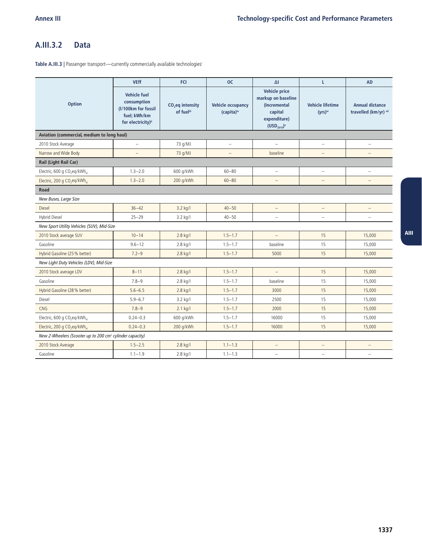### <span id="page-8-0"></span>**A.III.3.2 Data**

**Table A.III.3 |** Passenger transport—currently commercially available technologiesi

|                                                                      | <b>VEff</b>                                                                                     | <b>FCI</b>                                | <b>OC</b>                       | $\Delta I$                                                                                                | L                                       | <b>AD</b>                                       |  |  |  |  |
|----------------------------------------------------------------------|-------------------------------------------------------------------------------------------------|-------------------------------------------|---------------------------------|-----------------------------------------------------------------------------------------------------------|-----------------------------------------|-------------------------------------------------|--|--|--|--|
| <b>Option</b>                                                        | <b>Vehicle fuel</b><br>consumption<br>(I/100km for fossil<br>fuel; kWh/km<br>for electricity)ii | CO <sub>2</sub> eq intensity<br>of fuelii | Vehicle occupancy<br>(capita)iv | <b>Vehicle price</b><br>markup on baseline<br>(Incremental<br>capital<br>expenditure)<br>$(USD_{2010})^v$ | <b>Vehicle lifetime</b><br>$(yrs)^{vi}$ | <b>Annual distance</b><br>travelled (km/yr) vii |  |  |  |  |
| Aviation (commercial, medium to long haul)                           |                                                                                                 |                                           |                                 |                                                                                                           |                                         |                                                 |  |  |  |  |
| 2010 Stock Average                                                   | $\qquad \qquad -$                                                                               | 73 g/MJ                                   | $\overline{\phantom{0}}$        | $\equiv$                                                                                                  | $\overline{\phantom{0}}$                |                                                 |  |  |  |  |
| Narrow and Wide Body                                                 | $\overline{\phantom{0}}$                                                                        | 73 g/MJ                                   | $\overline{\phantom{0}}$        | baseline                                                                                                  | $\overline{\phantom{0}}$                | $\equiv$                                        |  |  |  |  |
| Rail (Light Rail Car)                                                |                                                                                                 |                                           |                                 |                                                                                                           |                                         |                                                 |  |  |  |  |
| Electric, 600 g CO <sub>2</sub> eq/kWh <sub>el</sub>                 | $1.3 - 2.0$                                                                                     | 600 g/kWh                                 | $60 - 80$                       | $\overline{\phantom{a}}$                                                                                  | $\qquad \qquad -$                       | $\overline{\phantom{m}}$                        |  |  |  |  |
| Electric, 200 g CO <sub>2</sub> eg/kWh <sub>al</sub>                 | $1.3 - 2.0$                                                                                     | 200 g/kWh                                 | $60 - 80$                       | $\overline{\phantom{m}}$                                                                                  | $\qquad \qquad -$                       | $\overline{\phantom{m}}$                        |  |  |  |  |
| <b>Road</b>                                                          |                                                                                                 |                                           |                                 |                                                                                                           |                                         |                                                 |  |  |  |  |
| New Buses, Large Size                                                |                                                                                                 |                                           |                                 |                                                                                                           |                                         |                                                 |  |  |  |  |
| Diesel                                                               | $36 - 42$                                                                                       | $3.2$ kg/l                                | $40 - 50$                       | $\equiv$                                                                                                  | $\overline{\phantom{0}}$                |                                                 |  |  |  |  |
| Hybrid Diesel                                                        | $25 - 29$                                                                                       | $3.2$ kg/l                                | $40 - 50$                       | $\overline{\phantom{a}}$                                                                                  | $\overline{\phantom{a}}$                | $\overline{\phantom{0}}$                        |  |  |  |  |
| New Sport Utility Vehicles (SUV), Mid-Size                           |                                                                                                 |                                           |                                 |                                                                                                           |                                         |                                                 |  |  |  |  |
| 2010 Stock average SUV                                               | $10 - 14$                                                                                       | $2.8$ kg/l                                | $1.5 - 1.7$                     | $\overline{\phantom{a}}$                                                                                  | 15                                      | 15,000                                          |  |  |  |  |
| Gasoline                                                             | $9.6 - 12$                                                                                      | $2.8$ kg/l                                | $1.5 - 1.7$                     | baseline                                                                                                  | 15                                      | 15,000                                          |  |  |  |  |
| Hybrid Gasoline (25 % better)                                        | $7.2 - 9$                                                                                       | $2.8$ kg/l                                | $1.5 - 1.7$                     | 5000                                                                                                      | 15                                      | 15,000                                          |  |  |  |  |
| New Light Duty Vehicles (LDV), Mid-Size                              |                                                                                                 |                                           |                                 |                                                                                                           |                                         |                                                 |  |  |  |  |
| 2010 Stock average LDV                                               | $8 - 11$                                                                                        | $2.8$ kg/l                                | $1.5 - 1.7$                     |                                                                                                           | 15                                      | 15,000                                          |  |  |  |  |
| Gasoline                                                             | $7.8 - 9$                                                                                       | 2.8 kg/l                                  | $1.5 - 1.7$                     | baseline                                                                                                  | 15                                      | 15,000                                          |  |  |  |  |
| Hybrid Gasoline (28 % better)                                        | $5.6 - 6.5$                                                                                     | $2.8$ kg/l                                | $1.5 - 1.7$                     | 3000                                                                                                      | 15                                      | 15,000                                          |  |  |  |  |
| Diesel                                                               | $5.9 - 6.7$                                                                                     | $3.2$ kg/l                                | $1.5 - 1.7$                     | 2500                                                                                                      | 15                                      | 15,000                                          |  |  |  |  |
| <b>CNG</b>                                                           | $7.8 - 9$                                                                                       | $2.1$ kg/l                                | $1.5 - 1.7$                     | 2000                                                                                                      | 15                                      | 15,000                                          |  |  |  |  |
| Electric, 600 g CO <sub>2</sub> eq/kWh <sub>el</sub>                 | $0.24 - 0.3$                                                                                    | 600 g/kWh                                 | $1.5 - 1.7$                     | 16000                                                                                                     | 15                                      | 15,000                                          |  |  |  |  |
| Electric, 200 g CO <sub>2</sub> eg/kWh <sub>el</sub>                 | $0.24 - 0.3$                                                                                    | 200 g/kWh                                 | $1.5 - 1.7$                     | 16000                                                                                                     | 15                                      | 15,000                                          |  |  |  |  |
| New 2-Wheelers (Scooter up to 200 cm <sup>3</sup> cylinder capacity) |                                                                                                 |                                           |                                 |                                                                                                           |                                         |                                                 |  |  |  |  |
| 2010 Stock Average                                                   | $1.5 - 2.5$                                                                                     | $2.8$ kg/l                                | $1.1 - 1.3$                     | $\overline{\phantom{a}}$                                                                                  | $\hspace{1.0cm} - \hspace{1.0cm}$       | $\equiv$                                        |  |  |  |  |
| Gasoline                                                             | $1.1 - 1.9$                                                                                     | 2.8 kg/l                                  | $1.1 - 1.3$                     | $\overline{\phantom{m}}$                                                                                  | $\overline{\phantom{m}}$                | $\overline{\phantom{m}}$                        |  |  |  |  |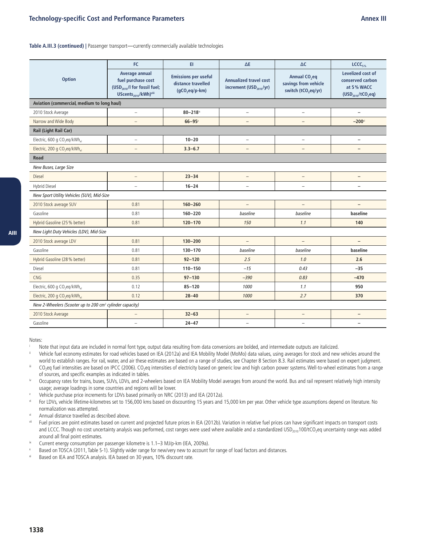**Table A.III.3 (continued) |** Passenger transport—currently commercially available technologies

|                                                                      | <b>FC</b>                                                                                                                                                                                                  | EI          | $\Delta E$                                                           | $\Delta C$                                                                                | LCCC <sub>sw</sub>                                                                   |  |  |  |  |  |
|----------------------------------------------------------------------|------------------------------------------------------------------------------------------------------------------------------------------------------------------------------------------------------------|-------------|----------------------------------------------------------------------|-------------------------------------------------------------------------------------------|--------------------------------------------------------------------------------------|--|--|--|--|--|
| <b>Option</b>                                                        | Average annual<br><b>Emissions per useful</b><br>fuel purchase cost<br>distance travelled<br>(USD <sub>2010</sub> /I for fossil fuel;<br>$(gCO, eq/p-km)$<br>UScents <sub>2010</sub> /kWh) <sup>viii</sup> |             | <b>Annualized travel cost</b><br>increment (USD <sub>2010</sub> /yr) | <b>Annual CO<sub>2</sub>eq</b><br>savings from vehicle<br>switch (tCO <sub>2</sub> eq/yr) | <b>Levelized cost of</b><br>conserved carbon<br>at 5% WACC<br>$(USD_{2010}/tCO_2eq)$ |  |  |  |  |  |
| Aviation (commercial, medium to long haul)                           |                                                                                                                                                                                                            |             |                                                                      |                                                                                           |                                                                                      |  |  |  |  |  |
| 2010 Stock Average                                                   | $\overline{\phantom{m}}$                                                                                                                                                                                   | $80 - 218$  | $\equiv$                                                             | $\overline{\phantom{m}}$                                                                  | $\equiv$                                                                             |  |  |  |  |  |
| Narrow and Wide Body                                                 |                                                                                                                                                                                                            | $66 - 95$   | L.                                                                   | $\equiv$                                                                                  | $-200$ <sup>xi</sup>                                                                 |  |  |  |  |  |
| Rail (Light Rail Car)                                                |                                                                                                                                                                                                            |             |                                                                      |                                                                                           |                                                                                      |  |  |  |  |  |
| Electric, 600 g CO <sub>2</sub> eq/kWh <sub>el</sub>                 | ÷,                                                                                                                                                                                                         | $10 - 20$   | $\overline{\phantom{0}}$                                             | $\equiv$                                                                                  | $\equiv$                                                                             |  |  |  |  |  |
| Electric, 200 g CO <sub>2</sub> eq/kWh <sub>el</sub>                 |                                                                                                                                                                                                            | $3.3 - 6.7$ | $\overline{\phantom{0}}$                                             |                                                                                           |                                                                                      |  |  |  |  |  |
| Road                                                                 |                                                                                                                                                                                                            |             |                                                                      |                                                                                           |                                                                                      |  |  |  |  |  |
| New Buses, Large Size                                                |                                                                                                                                                                                                            |             |                                                                      |                                                                                           |                                                                                      |  |  |  |  |  |
| Diesel                                                               | $\qquad \qquad -$                                                                                                                                                                                          | $23 - 34$   | $\overline{\phantom{0}}$                                             | $\equiv$                                                                                  | $\equiv$                                                                             |  |  |  |  |  |
| Hybrid Diesel                                                        | $\equiv$                                                                                                                                                                                                   | $16 - 24$   | L.                                                                   | $\equiv$                                                                                  |                                                                                      |  |  |  |  |  |
| New Sport Utility Vehicles (SUV), Mid-Size                           |                                                                                                                                                                                                            |             |                                                                      |                                                                                           |                                                                                      |  |  |  |  |  |
| 2010 Stock average SUV                                               | 0.81                                                                                                                                                                                                       | $160 - 260$ |                                                                      |                                                                                           |                                                                                      |  |  |  |  |  |
| Gasoline                                                             | 0.81                                                                                                                                                                                                       | $160 - 220$ | baseline                                                             | baseline                                                                                  | baseline                                                                             |  |  |  |  |  |
| Hybrid Gasoline (25 % better)                                        | 0.81                                                                                                                                                                                                       | $120 - 170$ | 150                                                                  | 1.1                                                                                       | 140                                                                                  |  |  |  |  |  |
| New Light Duty Vehicles (LDV), Mid-Size                              |                                                                                                                                                                                                            |             |                                                                      |                                                                                           |                                                                                      |  |  |  |  |  |
| 2010 Stock average LDV                                               | 0.81                                                                                                                                                                                                       | $130 - 200$ | -                                                                    |                                                                                           |                                                                                      |  |  |  |  |  |
| Gasoline                                                             | 0.81                                                                                                                                                                                                       | 130-170     | baseline                                                             | baseline                                                                                  | baseline                                                                             |  |  |  |  |  |
| Hybrid Gasoline (28 % better)                                        | 0.81                                                                                                                                                                                                       | $92 - 120$  | 2.5                                                                  | 1.0                                                                                       | 2.6                                                                                  |  |  |  |  |  |
| Diesel                                                               | 0.81                                                                                                                                                                                                       | $110 - 150$ | $-15$                                                                | 0.43                                                                                      | $-35$                                                                                |  |  |  |  |  |
| <b>CNG</b>                                                           | 0.35                                                                                                                                                                                                       | $97 - 130$  | $-390$                                                               | 0.83                                                                                      | $-470$                                                                               |  |  |  |  |  |
| Electric, 600 g CO <sub>2</sub> eg/kWh <sub>el</sub>                 | 0.12                                                                                                                                                                                                       | $85 - 120$  | 1000                                                                 | 1.1                                                                                       | 950                                                                                  |  |  |  |  |  |
| Electric, 200 g CO <sub>2</sub> eq/kWh <sub>el</sub>                 | 0.12                                                                                                                                                                                                       | $28 - 40$   | 1000                                                                 | 2.7                                                                                       | 370                                                                                  |  |  |  |  |  |
| New 2-Wheelers (Scooter up to 200 cm <sup>3</sup> cylinder capacity) |                                                                                                                                                                                                            |             |                                                                      |                                                                                           |                                                                                      |  |  |  |  |  |
| 2010 Stock Average                                                   | $\overline{\phantom{m}}$                                                                                                                                                                                   | $32 - 63$   | $\qquad \qquad -$                                                    | $\overline{\phantom{a}}$                                                                  | $\qquad \qquad -$                                                                    |  |  |  |  |  |
| Gasoline                                                             | $\overline{\phantom{0}}$                                                                                                                                                                                   | $24 - 47$   | $\overline{\phantom{0}}$                                             | $\equiv$                                                                                  | $\equiv$                                                                             |  |  |  |  |  |

Notes:

Note that input data are included in normal font type, output data resulting from data conversions are bolded, and intermediate outputs are italicized.<br>Vehicle fuel economy estimates for road vehicles based on IEA (2012a) world to establish ranges. For rail, water, and air these estimates are based on a range of studies, see Chapter 8 Section 8.3. Rail estimates were based on expert judgment.

 $CO<sub>2</sub>$ eq fuel intensities are based on IPCC (2006). CO<sub>2</sub>eq intensities of electricity based on generic low and high carbon power systems. Well-to-wheel estimates from a range of sources, and specific examples as indicated in tables.

Occupancy rates for trains, buses, SUVs, LDVs, and 2-wheelers based on IEA Mobility Model averages from around the world. Bus and rail represent relatively high intensity

usage; average loadings in some countries and regions will be lower.<br>Vehicle purchase price increments for LDVs based primarily on NRC (2013) and IEA (2012a).<br>For LDVs, vehicle lifetime-kilometres set to 156,000 kms based normalization was attempted.

Annual distance travelled as described above.

Fuel prices are point estimates based on current and projected future prices in IEA (2012b). Variation in relative fuel prices can have significant impacts on transport costs and LCCC. Though no cost uncertainty analysis was performed, cost ranges were used where available and a standardized USD<sub>2010</sub>100/tCO<sub>2</sub>eq uncertainty range was added around all final point estimates.

Current energy consumption per passenger kilometre is 1.1–3 MJ/p-km (IEA, 2009a).

Based on TOSCA (2011, Table S-1). Slightly wider range for new/very new to account for range of load factors and distances.

Based on IEA and TOSCA analysis. IEA based on 30 years, 10% discount rate.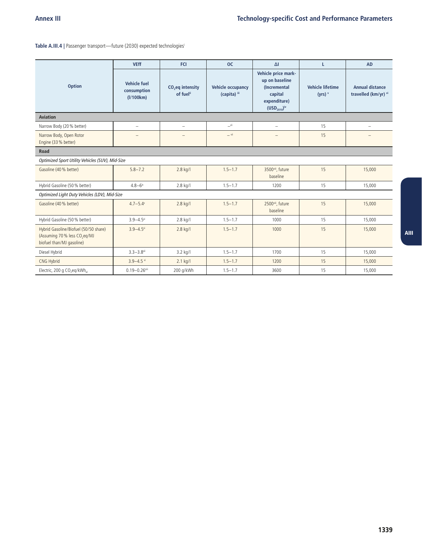**Table A.III.4 |** Passenger transport—future (2030) expected technologiesi

|                                                                                                                | <b>VEff</b>                                     | <b>FCI</b>                                | <b>OC</b>                                | $\Delta I$                                                                                            | L                             | <b>AD</b>                                      |  |  |  |  |  |
|----------------------------------------------------------------------------------------------------------------|-------------------------------------------------|-------------------------------------------|------------------------------------------|-------------------------------------------------------------------------------------------------------|-------------------------------|------------------------------------------------|--|--|--|--|--|
| <b>Option</b>                                                                                                  | <b>Vehicle fuel</b><br>consumption<br>(1/100km) | CO <sub>2</sub> eq intensity<br>of fuelii | <b>Vehicle occupancy</b><br>(capita) iii | Vehicle price mark-<br>up on baseline<br>(Incremental<br>capital<br>expenditure)<br>$(USD_{2010})$ iv | Vehicle lifetime<br>(yrs) $v$ | <b>Annual distance</b><br>travelled (km/yr) vi |  |  |  |  |  |
| <b>Aviation</b>                                                                                                |                                                 |                                           |                                          |                                                                                                       |                               |                                                |  |  |  |  |  |
| Narrow Body (20 % better)                                                                                      | $\overline{\phantom{0}}$                        | $\overline{\phantom{a}}$                  | $\_\mathsf{V}$                           | $\overline{\phantom{m}}$                                                                              | 15                            | $\equiv$                                       |  |  |  |  |  |
| Narrow Body, Open Rotor<br>Engine (33 % better)                                                                | $\overline{\phantom{0}}$                        | $\overline{\phantom{0}}$                  | $=$ vii                                  | $\overline{\phantom{m}}$                                                                              | 15                            |                                                |  |  |  |  |  |
| Road                                                                                                           |                                                 |                                           |                                          |                                                                                                       |                               |                                                |  |  |  |  |  |
| Optimized Sport Utility Vehicles (SUV), Mid-Size                                                               |                                                 |                                           |                                          |                                                                                                       |                               |                                                |  |  |  |  |  |
| Gasoline (40 % better)                                                                                         | $5.8 - 7.2$                                     | $2.8$ kg/l                                | $1.5 - 1.7$                              | 3500viii, future<br>baseline                                                                          | 15                            | 15,000                                         |  |  |  |  |  |
| Hybrid Gasoline (50 % better)                                                                                  | $4.8 - 6^{ix}$                                  | $2.8$ kg/l                                | $1.5 - 1.7$                              | 1200                                                                                                  | 15                            | 15,000                                         |  |  |  |  |  |
| Optimized Light Duty Vehicles (LDV), Mid-Size                                                                  |                                                 |                                           |                                          |                                                                                                       |                               |                                                |  |  |  |  |  |
| Gasoline (40 % better)                                                                                         | $4.7 - 5.4$                                     | $2.8$ kg/l                                | $1.5 - 1.7$                              | 2500viii, future<br>baseline                                                                          | 15                            | 15,000                                         |  |  |  |  |  |
| Hybrid Gasoline (50 % better)                                                                                  | $3.9 - 4.5$ <sup>xi</sup>                       | 2.8 kg/l                                  | $1.5 - 1.7$                              | 1000                                                                                                  | 15                            | 15,000                                         |  |  |  |  |  |
| Hybrid Gasoline/Biofuel (50/50 share)<br>(Assuming 70% less CO <sub>2</sub> eq/MJ<br>biofuel than/MJ gasoline) | $3.9 - 4.5$ <sup>xi</sup>                       | $2.8$ kg/l                                | $1.5 - 1.7$                              | 1000                                                                                                  | 15                            | 15,000                                         |  |  |  |  |  |
| Diesel Hybrid                                                                                                  | $3.3 - 3.8$ <sup>xii</sup>                      | $3.2$ kg/l                                | $1.5 - 1.7$                              | 1700                                                                                                  | 15                            | 15,000                                         |  |  |  |  |  |
| CNG Hybrid                                                                                                     | $3.9 - 4.5$ xi                                  | $2.1$ kg/l                                | $1.5 - 1.7$                              | 1200                                                                                                  | 15                            | 15,000                                         |  |  |  |  |  |
| Electric, 200 g CO <sub>2</sub> eg/kWh <sub>el</sub>                                                           | $0.19 - 0.26$ <sup>xiii</sup>                   | 200 g/kWh                                 | $1.5 - 1.7$                              | 3600                                                                                                  | 15                            | 15,000                                         |  |  |  |  |  |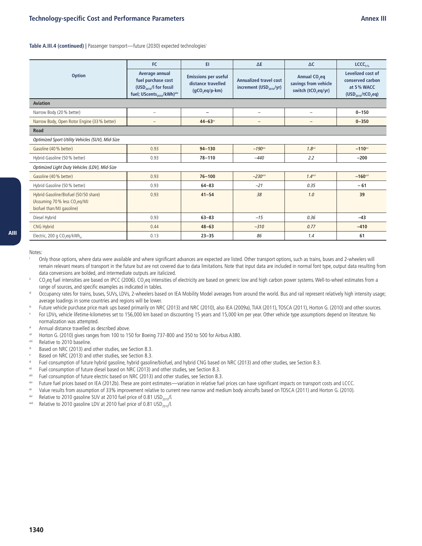#### **Table A.III.4 (continued) |** Passenger transport—future (2030) expected technologiesi

|                                                                                                                | <b>FC</b>                                                                                                                 | EI                                                                    | $\Delta E$                                                  | $\Delta C$                                                                           | LCCC <sub>s</sub>                                                             |  |  |  |  |  |
|----------------------------------------------------------------------------------------------------------------|---------------------------------------------------------------------------------------------------------------------------|-----------------------------------------------------------------------|-------------------------------------------------------------|--------------------------------------------------------------------------------------|-------------------------------------------------------------------------------|--|--|--|--|--|
| <b>Option</b>                                                                                                  | Average annual<br>fuel purchase cost<br>$(USD_{2010}/I)$ for fossil<br>fuel; UScents <sub>2010</sub> /kWh) <sup>xiv</sup> | <b>Emissions per useful</b><br>distance travelled<br>$(gCO, eq/p-km)$ | <b>Annualized travel cost</b><br>increment ( $USD2010/yr$ ) | Annual CO <sub>2</sub> eq<br>savings from vehicle<br>switch (tCO <sub>2</sub> eq/yr) | Levelized cost of<br>conserved carbon<br>at 5% WACC<br>$(USD_{2010}/tCO_2eq)$ |  |  |  |  |  |
| Aviation                                                                                                       |                                                                                                                           |                                                                       |                                                             |                                                                                      |                                                                               |  |  |  |  |  |
| Narrow Body (20 % better)                                                                                      | $\overline{\phantom{a}}$                                                                                                  | $\overline{\phantom{0}}$                                              | -                                                           | $\overline{\phantom{0}}$                                                             | $0 - 150$                                                                     |  |  |  |  |  |
| Narrow Body, Open Rotor Engine (33 % better)                                                                   | $\qquad \qquad -$                                                                                                         | $44 - 63$                                                             |                                                             | $\qquad \qquad -$                                                                    | $0 - 350$                                                                     |  |  |  |  |  |
| Road                                                                                                           |                                                                                                                           |                                                                       |                                                             |                                                                                      |                                                                               |  |  |  |  |  |
| Optimized Sport Utility Vehicles (SUV), Mid-Size                                                               |                                                                                                                           |                                                                       |                                                             |                                                                                      |                                                                               |  |  |  |  |  |
| Gasoline (40 % better)                                                                                         | 0.93                                                                                                                      | $94 - 130$                                                            | $-190$ <sub>xvi</sub>                                       | 1.8 <sup>xi</sup>                                                                    | $-110$ <sup>xvi</sup>                                                         |  |  |  |  |  |
| Hybrid Gasoline (50 % better)                                                                                  | 0.93                                                                                                                      | $78 - 110$                                                            | $-440$                                                      | 2.2                                                                                  | $-200$                                                                        |  |  |  |  |  |
| Optimized Light Duty Vehicles (LDV), Mid-Size                                                                  |                                                                                                                           |                                                                       |                                                             |                                                                                      |                                                                               |  |  |  |  |  |
| Gasoline (40 % better)                                                                                         | 0.93                                                                                                                      | $76 - 100$                                                            | $-230$ <sup>xvii</sup>                                      | $1.4$ <sup>xvii</sup>                                                                | $-160$ <sup>xvii</sup>                                                        |  |  |  |  |  |
| Hybrid Gasoline (50 % better)                                                                                  | 0.93                                                                                                                      | $64 - 83$                                                             | $-21$                                                       | 0.35                                                                                 | $-61$                                                                         |  |  |  |  |  |
| Hybrid Gasoline/Biofuel (50/50 share)<br>(Assuming 70% less CO <sub>2</sub> eg/MJ<br>biofuel than/MJ gasoline) | 0.93                                                                                                                      | $41 - 54$                                                             | 38                                                          | 1.0                                                                                  | 39                                                                            |  |  |  |  |  |
| Diesel Hybrid                                                                                                  | 0.93                                                                                                                      | $63 - 83$                                                             | $-15$                                                       | 0.36                                                                                 | $-43$                                                                         |  |  |  |  |  |
| CNG Hybrid                                                                                                     | 0.44                                                                                                                      | $48 - 63$                                                             | $-310$                                                      | 0.77                                                                                 | $-410$                                                                        |  |  |  |  |  |
| Electric, 200 g CO <sub>2</sub> eg/kWh <sub>el</sub>                                                           | 0.13                                                                                                                      | $23 - 35$                                                             | 86                                                          | 1.4                                                                                  | 61                                                                            |  |  |  |  |  |

**Notes** 

Only those options, where data were available and where significant advances are expected are listed. Other transport options, such as trains, buses and 2-wheelers will remain relevant means of transport in the future but are not covered due to data limitations. Note that input data are included in normal font type, output data resulting from data conversions are bolded, and intermediate outputs are italicized.

- CO<sub>2</sub>eq fuel intensities are based on IPCC (2006). CO<sub>2</sub>eq intensities of electricity are based on generic low and high carbon power systems. Well-to-wheel estimates from a range of sources, and specific examples as indicated in tables.
- iii Occupancy rates for trains, buses, SUVs, LDVs, 2-wheelers based on IEA Mobility Model averages from around the world. Bus and rail represent relatively high intensity usage; average loadings in some countries and regions will be lower.
- Future vehicle purchase price mark ups based primarily on NRC (2013) and NRC (2010), also IEA (2009a), TIAX (2011), TOSCA (2011), Horton G. (2010) and other sources. For LDVs, vehicle lifetime-kilometres set to 156,000 km based on discounting 15 years and 15,000 km per year. Other vehicle type assumptions depend on literature. No normalization was attempted.
- Annual distance travelled as described above.
- Horton G. (2010) gives ranges from 100 to 150 for Boeing 737-800 and 350 to 500 for Airbus A380.
- viii Relative to 2010 baseline.
- Based on NRC (2013) and other studies, see Section 8.3.
- Based on NRC (2013) and other studies, see Section 8.3.
- Fuel consumption of future hybrid gasoline, hybrid gasoline/biofuel, and hybrid CNG based on NRC (2013) and other studies, see Section 8.3.
- $xii$  Fuel consumption of future diesel based on NRC (2013) and other studies, see Section 8.3.<br> $xii$  Fuel consumption of future electric based on NRC (2013) and other studies, see Section 8.3.
- $\frac{x}{10}$  Fuel consumption of future electric based on NRC (2013) and other studies, see Section 8.3.<br> $\frac{x}{10}$  Future fuel prices based on IEA (2012b). These are point estimates sustaition in relative fuel
- Future fuel prices based on IEA (2012b). These are point estimates—variation in relative fuel prices can have significant impacts on transport costs and LCCC.
- Value results from assumption of 33% improvement relative to current new narrow and medium body aircrafts based on TOSCA (2011) and Horton G. (2010).
- <sup>xvi</sup> Relative to 2010 gasoline SUV at 2010 fuel price of 0.81 USD<sub>2010</sub>/l.<br><sup>xvi</sup> Relative to 2010 gasoline LDV at 2010 fuel price of 0.81 USD *LL*
- Relative to 2010 gasoline LDV at 2010 fuel price of 0.81 USD $_{2010}$ /l.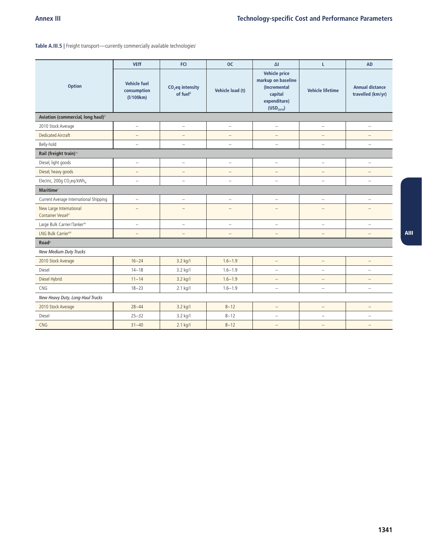**Table A.III.5 |** Freight transport—currently commercially available technologiesi

|                                                     | <b>VEff</b>                                     | <b>FCI</b>                                                                | <b>OC</b>                | $\Delta I$                                                                                              | Г                        | <b>AD</b>                                   |
|-----------------------------------------------------|-------------------------------------------------|---------------------------------------------------------------------------|--------------------------|---------------------------------------------------------------------------------------------------------|--------------------------|---------------------------------------------|
| <b>Option</b>                                       | <b>Vehicle fuel</b><br>consumption<br>(1/100km) | CO <sub>2</sub> eq intensity<br>of fuelii                                 | Vehicle load (t)         | <b>Vehicle price</b><br>markup on baseline<br>(Incremental<br>capital<br>expenditure)<br>$(USD_{2010})$ | <b>Vehicle lifetime</b>  | <b>Annual distance</b><br>travelled (km/yr) |
| Aviation (commercial, long haul) <sup>ii</sup>      |                                                 |                                                                           |                          |                                                                                                         |                          |                                             |
| 2010 Stock Average                                  | $\overline{a}$                                  | $\overline{\phantom{0}}$                                                  | $\qquad \qquad -$        | $\overline{\phantom{m}}$                                                                                | $\overline{\phantom{0}}$ | $\overline{\phantom{a}}$                    |
| <b>Dedicated Aircraft</b>                           | $\overline{\phantom{0}}$                        | $\qquad \qquad -$                                                         | $\qquad \qquad -$        | $\qquad \qquad -$                                                                                       | $\qquad \qquad -$        | $\qquad \qquad -$                           |
| Belly-hold                                          | $\overline{\phantom{0}}$                        | $\qquad \qquad -$<br>$\overline{\phantom{0}}$<br>$\overline{\phantom{m}}$ |                          | $\overline{\phantom{0}}$                                                                                | $\overline{\phantom{m}}$ |                                             |
| Rail (freight train) <sup>iv</sup>                  |                                                 |                                                                           |                          |                                                                                                         |                          |                                             |
| Diesel, light goods                                 | $\overline{\phantom{0}}$                        | $\overline{\phantom{0}}$                                                  | $\overline{\phantom{0}}$ | $\overline{\phantom{m}}$                                                                                | $\overline{\phantom{m}}$ | $\overline{\phantom{a}}$                    |
| Diesel, heavy goods                                 | $\qquad \qquad -$                               | $\qquad \qquad -$                                                         | $\qquad \qquad -$        | $\overline{\phantom{m}}$                                                                                | $\overline{\phantom{m}}$ | $\overline{\phantom{a}}$                    |
| Electric, 200g CO <sub>2</sub> eq/kWh <sub>el</sub> | $\overline{\phantom{0}}$                        | $\overline{\phantom{0}}$                                                  | $\overline{\phantom{0}}$ | $\overline{\phantom{m}}$                                                                                | $\overline{\phantom{m}}$ | $\overline{\phantom{m}}$                    |
| <b>Maritime</b> <sup>v</sup>                        |                                                 |                                                                           |                          |                                                                                                         |                          |                                             |
| Current Average International Shipping              | $\overline{\phantom{0}}$                        | $\overline{\phantom{0}}$                                                  | $\overline{\phantom{0}}$ | $\overline{\phantom{a}}$                                                                                | $\overline{\phantom{a}}$ | $\overline{\phantom{m}}$                    |
| New Large International<br>Container Vesselvi       | $\overline{\phantom{0}}$                        | $\overline{\phantom{0}}$                                                  | $\overline{\phantom{0}}$ | $\overline{\phantom{0}}$                                                                                | $\equiv$                 | $\overline{\phantom{a}}$                    |
| Large Bulk Carrier/Tankervii                        | $\overline{\phantom{0}}$                        | $\overline{\phantom{0}}$                                                  | $\overline{\phantom{0}}$ | $\overline{\phantom{m}}$                                                                                | $\overline{\phantom{m}}$ | $\overline{\phantom{a}}$                    |
| <b>LNG Bulk Carriervill</b>                         | $\qquad \qquad -$                               | $\qquad \qquad -$                                                         | $\qquad \qquad -$        | $\overline{\phantom{m}}$                                                                                | $\overline{\phantom{m}}$ | $\overline{\phantom{a}}$                    |
| <b>Road</b> ix                                      |                                                 |                                                                           |                          |                                                                                                         |                          |                                             |
| New Medium Duty Trucks                              |                                                 |                                                                           |                          |                                                                                                         |                          |                                             |
| 2010 Stock Average                                  | $16 - 24$                                       | $3.2$ kg/l                                                                | $1.6 - 1.9$              | $\overline{\phantom{m}}$                                                                                | $\overline{\phantom{m}}$ | $\overline{\phantom{m}}$                    |
| Diesel                                              | $14 - 18$                                       | 3.2 kg/l                                                                  | $1.6 - 1.9$              | $\overline{\phantom{m}}$                                                                                | $\overline{\phantom{a}}$ | $\overline{\phantom{m}}$                    |
| Diesel Hybrid                                       | $11 - 14$                                       | $3.2$ kg/l                                                                | $1.6 - 1.9$              | $\equiv$                                                                                                | $\equiv$                 | $\equiv$                                    |
| CNG                                                 | $18 - 23$                                       | $2.1$ kg/l                                                                | $1.6 - 1.9$              | $\overline{\phantom{a}}$                                                                                | $\overline{\phantom{m}}$ | $\overline{\phantom{m}}$                    |
| New Heavy Duty, Long-Haul Trucks                    |                                                 |                                                                           |                          |                                                                                                         |                          |                                             |
| 2010 Stock Average                                  | $28 - 44$                                       | $3.2$ kg/l                                                                | $8 - 12$                 | $\overline{\phantom{m}}$                                                                                | $\overline{\phantom{0}}$ | $\overline{\phantom{m}}$                    |
| Diesel                                              | $25 - 32$                                       | 3.2 kg/l                                                                  | $8 - 12$                 | $\overline{\phantom{m}}$                                                                                | $\overline{\phantom{a}}$ | $\equiv$                                    |
| CNG                                                 | $31 - 40$                                       | $2.1$ kg/l                                                                | $8 - 12$                 | $\overline{\phantom{m}}$                                                                                | $\qquad \qquad -$        | $\overline{\phantom{a}}$                    |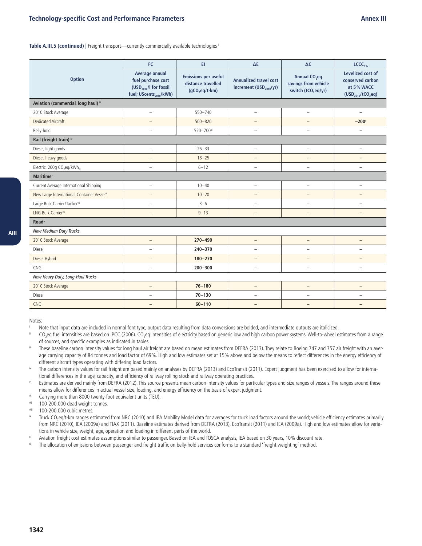Table A.III.5 (continued) | Freight transport—currently commercially available technologies i

|                                                     | FC                                                                                                                | E1                                                                    | $\Delta E$                                                           | $\Delta C$                                                                           | $LCCC5%$                                                                             |  |  |  |  |  |
|-----------------------------------------------------|-------------------------------------------------------------------------------------------------------------------|-----------------------------------------------------------------------|----------------------------------------------------------------------|--------------------------------------------------------------------------------------|--------------------------------------------------------------------------------------|--|--|--|--|--|
| <b>Option</b>                                       | Average annual<br>fuel purchase cost<br>(USD <sub>2010</sub> /I for fossil<br>fuel; UScents <sub>2010</sub> /kWh) | <b>Emissions per useful</b><br>distance travelled<br>$(qCO, eq/t-km)$ | <b>Annualized travel cost</b><br>increment (USD <sub>2010</sub> /yr) | Annual CO <sub>2</sub> eq<br>savings from vehicle<br>switch (tCO <sub>2</sub> eq/yr) | <b>Levelized cost of</b><br>conserved carbon<br>at 5% WACC<br>$(USD_{2010}/tCO_2eq)$ |  |  |  |  |  |
| Aviation (commercial, long haul) iii                |                                                                                                                   |                                                                       |                                                                      |                                                                                      |                                                                                      |  |  |  |  |  |
| 2010 Stock Average                                  | $\equiv$                                                                                                          | $550 - 740$                                                           | $\overline{\phantom{0}}$                                             | $\equiv$                                                                             | $\equiv$                                                                             |  |  |  |  |  |
| <b>Dedicated Aircraft</b>                           | $\overline{\phantom{0}}$                                                                                          | $500 - 820$                                                           | $\overline{\phantom{0}}$                                             | $\overline{\phantom{0}}$                                                             | $-200^x$                                                                             |  |  |  |  |  |
| Belly-hold                                          | $\equiv$                                                                                                          | 520-700 <sup>xi</sup>                                                 | $\overline{\phantom{0}}$                                             | $\equiv$                                                                             | $\overline{\phantom{a}}$                                                             |  |  |  |  |  |
| Rail (freight train) iv                             |                                                                                                                   |                                                                       |                                                                      |                                                                                      |                                                                                      |  |  |  |  |  |
| Diesel, light goods                                 | $\overline{\phantom{0}}$                                                                                          | $26 - 33$                                                             | $\overline{\phantom{m}}$                                             | $\overline{\phantom{m}}$                                                             | $\overline{\phantom{m}}$                                                             |  |  |  |  |  |
| Diesel, heavy goods                                 | $\qquad \qquad -$                                                                                                 | $18 - 25$                                                             | $\overline{\phantom{0}}$                                             | $\overline{\phantom{m}}$                                                             | $\overline{\phantom{m}}$                                                             |  |  |  |  |  |
| Electric, 200g CO <sub>2</sub> eg/kWh <sub>al</sub> | ÷                                                                                                                 | $6 - 12$                                                              | L.                                                                   | $\equiv$                                                                             |                                                                                      |  |  |  |  |  |
| <b>Maritime</b> <sup>v</sup>                        |                                                                                                                   |                                                                       |                                                                      |                                                                                      |                                                                                      |  |  |  |  |  |
| Current Average International Shipping              | $\equiv$                                                                                                          | $10 - 40$                                                             | $\overline{\phantom{0}}$                                             | $\overline{\phantom{m}}$                                                             | $\overline{\phantom{a}}$                                                             |  |  |  |  |  |
| New Large International Container Vesselvi          | $\equiv$                                                                                                          | $10 - 20$                                                             | $\overline{\phantom{0}}$                                             | $\equiv$                                                                             |                                                                                      |  |  |  |  |  |
| Large Bulk Carrier/Tankervii                        | $\equiv$                                                                                                          | $3 - 6$                                                               | $\overline{\phantom{0}}$                                             | $\overline{\phantom{0}}$                                                             | $\overline{\phantom{0}}$                                                             |  |  |  |  |  |
| LNG Bulk Carrierviii                                |                                                                                                                   | $9 - 13$                                                              | $\overline{\phantom{0}}$                                             | $\overline{\phantom{0}}$                                                             | $\overline{\phantom{0}}$                                                             |  |  |  |  |  |
| <b>Road</b> ix                                      |                                                                                                                   |                                                                       |                                                                      |                                                                                      |                                                                                      |  |  |  |  |  |
| <b>New Medium Duty Trucks</b>                       |                                                                                                                   |                                                                       |                                                                      |                                                                                      |                                                                                      |  |  |  |  |  |
| 2010 Stock Average                                  | $\equiv$                                                                                                          | $270 - 490$                                                           | $\overline{\phantom{0}}$                                             | $\overline{\phantom{a}}$                                                             | $\overline{\phantom{0}}$                                                             |  |  |  |  |  |
| Diesel                                              | $\equiv$                                                                                                          | 240-370                                                               | $\overline{\phantom{0}}$                                             | $\equiv$                                                                             | $\overline{\phantom{0}}$                                                             |  |  |  |  |  |
| Diesel Hybrid                                       | $\qquad \qquad -$                                                                                                 | $180 - 270$                                                           | $\overline{\phantom{0}}$                                             | $\overline{\phantom{0}}$                                                             |                                                                                      |  |  |  |  |  |
| CNG                                                 | $\overline{\phantom{0}}$                                                                                          | $200 - 300$                                                           | $\overline{\phantom{0}}$                                             | $\overline{\phantom{a}}$                                                             | $\overline{\phantom{0}}$                                                             |  |  |  |  |  |
| New Heavy Duty, Long-Haul Trucks                    |                                                                                                                   |                                                                       |                                                                      |                                                                                      |                                                                                      |  |  |  |  |  |
| 2010 Stock Average                                  | $\equiv$                                                                                                          | $76 - 180$                                                            | $\overline{\phantom{0}}$                                             | $\overline{\phantom{0}}$                                                             | $\equiv$                                                                             |  |  |  |  |  |
| Diesel                                              | $\qquad \qquad -$                                                                                                 | $70 - 130$                                                            | $\overline{\phantom{0}}$                                             | $\qquad \qquad -$                                                                    | $\overline{\phantom{m}}$                                                             |  |  |  |  |  |
| CNG                                                 | $\overline{\phantom{0}}$                                                                                          | $60 - 110$                                                            | $\overline{\phantom{0}}$                                             | $\overline{\phantom{0}}$                                                             | $\overline{\phantom{0}}$                                                             |  |  |  |  |  |

#### Notes:

Note that input data are included in normal font type, output data resulting from data conversions are bolded, and intermediate outputs are italicized.

CO<sub>2</sub>eq fuel intensities are based on IPCC (2006). CO<sub>2</sub>eq intensities of electricity based on generic low and high carbon power systems. Well-to-wheel estimates from a range

of sources, and specific examples as indicated in tables.<br>It These baseline carbon intensity values for long haul air freight are based on mean estimates from DEFRA (2013). They relate to Boeing 747 and 757 air freight wit age carrying capacity of 84 tonnes and load factor of 69%. High and low estimates set at 15% above and below the means to reflect differences in the energy efficiency of different aircraft types operating with differing load factors.<br>The carbon intensity values for rail freight are based mainly on analyses by DEFRA (2013) and EcoTransit (2011). Expert judgment has been exercised to allow f

tional differences in the age, capacity, and efficiency of railway rolling stock and railway operating practices.

Estimates are derived mainly from DEFRA (2012). This source presents mean carbon intensity values for particular types and size ranges of vessels. The ranges around these means allow for differences in actual vessel size, loading, and energy efficiency on the basis of expert judgment.

Carrying more than 8000 twenty-foot equivalent units (TEU).

100-200,000 dead weight tonnes.

100-200,000 cubic metres.

Truck CO<sub>2</sub>eq/t-km ranges estimated from NRC (2010) and IEA Mobility Model data for averages for truck load factors around the world; vehicle efficiency estimates primarily from NRC (2010), IEA (2009a) and TIAX (2011). Baseline estimates derived from DEFRA (2013), EcoTransit (2011) and IEA (2009a). High and low estimates allow for variations in vehicle size, weight, age, operation and loading in different parts of the world.

Aviation freight cost estimates assumptions similar to passenger. Based on IEA and TOSCA analysis, IEA based on 30 years, 10% discount rate.

The allocation of emissions between passenger and freight traffic on belly-hold services conforms to a standard 'freight weighting' method.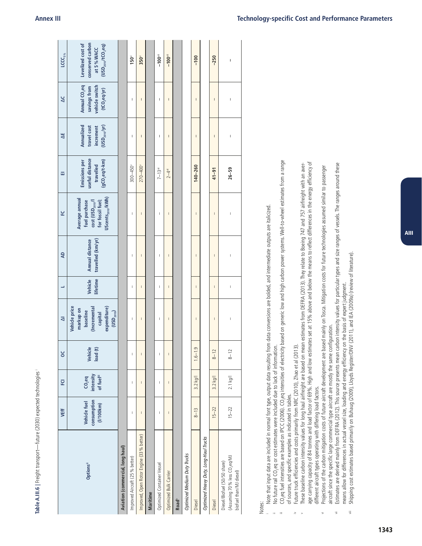| <b>LCCC<sub>5%</sub></b> | conserved carbon<br>Levelized cost of<br>$(USD_{2010}/tCO_2$ eq)<br>at 5% WACC                                       |                                  | <b>150</b> <sup>*</sup>                                                                                                                                                                                                                                                                                                                                                          | 350 <sup>vi</sup>                         |          | $-100$ <sup>vili</sup>                | $-100$ <sup>vili</sup> |                   |                              | $-100$            |                                        | $-250$                   | I                                                                                                    |  |
|--------------------------|----------------------------------------------------------------------------------------------------------------------|----------------------------------|----------------------------------------------------------------------------------------------------------------------------------------------------------------------------------------------------------------------------------------------------------------------------------------------------------------------------------------------------------------------------------|-------------------------------------------|----------|---------------------------------------|------------------------|-------------------|------------------------------|-------------------|----------------------------------------|--------------------------|------------------------------------------------------------------------------------------------------|--|
| JQ                       | Annual CO <sub>2</sub> eq<br>vehicle switch<br>savings from<br>$(tCO_2eq/yr)$                                        |                                  | $\mathsf{I}$                                                                                                                                                                                                                                                                                                                                                                     | $\mathsf I$                               |          | I                                     | I                      |                   |                              | I                 |                                        | I                        | I                                                                                                    |  |
| ă                        | Annualized<br>$(USD_{2010}/yr)$<br>travel cost<br>increment                                                          |                                  | I                                                                                                                                                                                                                                                                                                                                                                                | $\mathsf I$                               |          | I                                     | I                      |                   |                              | I                 |                                        | I                        | I                                                                                                    |  |
| Ξ                        | useful distance<br>$(gCO2eq/t-km)$<br>Emissions per<br>travelled                                                     |                                  | $300 - 450$                                                                                                                                                                                                                                                                                                                                                                      | 270-400°                                  |          | $7 - 13$ <sup>vii</sup>               | $2 - 4$ <sup>vii</sup> |                   |                              | 140-260           |                                        | $41 - 91$                | $26 - 59$                                                                                            |  |
| ڀ                        | UScents <sub>2010</sub> /kWh)<br>Average annual<br>fuel purchase<br>for fossil fuel;<br>cost (USD <sub>2010</sub> /l |                                  | $\mathbf{I}$                                                                                                                                                                                                                                                                                                                                                                     | $\overline{\phantom{a}}$                  |          | $\begin{array}{c} \hline \end{array}$ | ı                      |                   |                              | $\overline{1}$    |                                        | $\mathbf{I}$             | $\overline{\phantom{a}}$                                                                             |  |
| ą                        | travelled (km/yr)<br>Annual distance                                                                                 |                                  | $\begin{array}{c} \rule{0pt}{2.5ex} \rule{0pt}{2.5ex} \rule{0pt}{2.5ex} \rule{0pt}{2.5ex} \rule{0pt}{2.5ex} \rule{0pt}{2.5ex} \rule{0pt}{2.5ex} \rule{0pt}{2.5ex} \rule{0pt}{2.5ex} \rule{0pt}{2.5ex} \rule{0pt}{2.5ex} \rule{0pt}{2.5ex} \rule{0pt}{2.5ex} \rule{0pt}{2.5ex} \rule{0pt}{2.5ex} \rule{0pt}{2.5ex} \rule{0pt}{2.5ex} \rule{0pt}{2.5ex} \rule{0pt}{2.5ex} \rule{0$ | $\overline{\phantom{a}}$                  |          | $\begin{array}{c} \hline \end{array}$ | ı                      |                   |                              | Ï                 |                                        | $\mathbf{I}$             | $\mathsf{I}$                                                                                         |  |
|                          | Vehicle<br>lifetime                                                                                                  |                                  | $\begin{array}{c} \hline \end{array}$                                                                                                                                                                                                                                                                                                                                            | $\overline{1}$                            |          | $\begin{array}{c} \hline \end{array}$ | Ī                      |                   |                              | $\mathbf{I}$      |                                        | $\overline{\phantom{a}}$ | $\overline{\phantom{a}}$                                                                             |  |
| $\overline{a}$           | Vehicle price<br>expenditure)<br>(Incremental<br>markup on<br>baseline<br>$(USD_{2010})$<br>capital                  |                                  | $\begin{array}{c} \rule{0pt}{2.5ex} \rule{0pt}{2.5ex} \rule{0pt}{2.5ex} \rule{0pt}{2.5ex} \rule{0pt}{2.5ex} \rule{0pt}{2.5ex} \rule{0pt}{2.5ex} \rule{0pt}{2.5ex} \rule{0pt}{2.5ex} \rule{0pt}{2.5ex} \rule{0pt}{2.5ex} \rule{0pt}{2.5ex} \rule{0pt}{2.5ex} \rule{0pt}{2.5ex} \rule{0pt}{2.5ex} \rule{0pt}{2.5ex} \rule{0pt}{2.5ex} \rule{0pt}{2.5ex} \rule{0pt}{2.5ex} \rule{0$ | $\overline{\phantom{a}}$                  |          | $\begin{array}{c} \hline \end{array}$ | I                      |                   |                              | $\mathsf{I}$      |                                        | $\mathbf{I}$             | $\overline{\phantom{a}}$                                                                             |  |
| ŏ                        | Vehicle<br>load (t)                                                                                                  |                                  | $\overline{\phantom{a}}$                                                                                                                                                                                                                                                                                                                                                         | $\overline{1}$                            |          | $\overline{\phantom{a}}$              | $\mathsf{I}$           |                   |                              | c.<br>$1 - 6 - 1$ |                                        | $8 - 12$                 | $8 - 12$                                                                                             |  |
| 군                        | intensity<br>of fuel <sup>iii</sup><br>$CO2$ eq                                                                      |                                  | $\mathbf{I}$                                                                                                                                                                                                                                                                                                                                                                     | $\overline{1}$                            |          | $\mathbf{I}$                          | Ī                      |                   |                              | $3.2$ kg/l        |                                        | $3.2$ kg/l               | $2.1$ kg/l                                                                                           |  |
| <b>VEff</b>              | consumption<br>Vehicle fuel<br>(1/100km)                                                                             |                                  | $\begin{array}{c} \rule{0pt}{2.5ex} \rule{0pt}{2.5ex} \rule{0pt}{2.5ex} \rule{0pt}{2.5ex} \rule{0pt}{2.5ex} \rule{0pt}{2.5ex} \rule{0pt}{2.5ex} \rule{0pt}{2.5ex} \rule{0pt}{2.5ex} \rule{0pt}{2.5ex} \rule{0pt}{2.5ex} \rule{0pt}{2.5ex} \rule{0pt}{2.5ex} \rule{0pt}{2.5ex} \rule{0pt}{2.5ex} \rule{0pt}{2.5ex} \rule{0pt}{2.5ex} \rule{0pt}{2.5ex} \rule{0pt}{2.5ex} \rule{0$ | $\overline{1}$                            |          | $\overline{\phantom{a}}$              | Ī                      |                   |                              | $8 - 13$          |                                        | $15 - 22$                | $15 - 22$                                                                                            |  |
|                          | Options <sup>ii</sup>                                                                                                | Aviation (commercial, long haul) | Improved Aircraft (25 % better)                                                                                                                                                                                                                                                                                                                                                  | Improved, Open Rotor Engine (33 % better) | Maritime | Optimized Container Vessel            | Optimized Bulk Carrier | Road <sup>®</sup> | Optimized Medium Duty Trucks | Diesel            | Optimized Heavy Duty, Long-Haul Trucks | Diesel                   | (Assuming 70 % less CO <sub>2</sub> eq/MJ<br>Diesel/Biofuel (50/50 share)<br>biofuel than/MJ diesel) |  |

111111

**Contract Contract Street** 

 $\mathbf{I}$ 

 $\overline{\phantom{a}}$ 

Notes:

 $=$ 

Note that input data are included in normal font type, output data resulting from data conversions are bolded, and intermediate outputs are italicized. Note that input data are included in normal font type, output data resulting from data conversions are bolded, and intermediate outputs are italicized.

No future rail CO<sub>2</sub>eq or cost estimates were included due to lack of information. ii No future rail CO<sub>2</sub>eq or cost estimates were included due to lack of information.

iii CO2eq fuel intensities are based on IPCC (2006). CO2eq intensities of electricity based on generic low and high carbon power systems. Well-to-wheel estimates from a range CO<sub>2</sub>eq fuel intensities are based on IPCC (2006). CO<sub>2</sub>eq intensities of electricity based on generic low and high carbon power systems. Well-to-wheel estimates from a range of sources, and specific examples as indicated in tables. of sources, and specific examples as indicated in tables.

Future truck efficiencies and costs primarily from NRC (2010), Zhao et al (2013). iv Future truck efficiencies and costs primarily from NRC (2010), Zhao et al (2013).  $\leq$ 

age carrying capacity of 84 tonnes and load factor of 69%. High and low estimates set at 15% above and below the means to reflect differences in the energy efficiency of age carrying capacity of 84 tonnes and load factor of 69%. High and low estimates set at 15% above and below the means to reflect differences in the energy efficiency of These baseline carbon intensity values for long haul airfreight are based on mean estimates from DEFRA (2013). They relate to Boeing 747 and 757 airfreight with an aver- These baseline carbon intensity values for long haul airfreight are based on mean estimates from DEFRA (2013). They relate to Boeing 747 and 757 airfreight with an averdifferent aircraft types operating with differing load factors. different aircraft types operating with differing load factors. v

vi Projections of the carbon mitigation costs of future aircraft development are based mainly on Tosca. Mitigation costs for future technologies assumed similar to passenger Projections of the carbon mitigation costs of future aircraft development are based mainly on Tosca. Mitigation costs for future technologies assumed similar to passenger aircraft since the specific large commercial type aircraft are mostly the same configuration. aircraft since the specific large commercial type aircraft are mostly the same configuration.  $\overline{z}$ 

Estimates are derived mainly from DEFRA (2012). This source presents mean carbon intensity values for particular types and size ranges of vessels. The ranges around these vii Estimates are derived mainly from DEFRA (2012). This source presents mean carbon intensity values for particular types and size ranges of vessels. The ranges around these means allow for differences in actual vessel size, loading and energy efficiency on the basis of expert judgment. means allow for differences in actual vessel size, loading and energy efficiency on the basis of expert judgment.  $\overline{5}$ 

Shipping cost estimates based primarily on Buhaug (2009), Lloyds Register/DNV (2011), and IEA (2009a) (review of literature). viii Shipping cost estimates based primarily on Buhaug (2009), Lloyds Register/DNV (2011), and IEA (2009a) (review of literature).

 $\overline{y}$ 

 $+$   $=$   $-$ 

**Table A.III.6 |** Freight transport—future (2030) expected technologies i

Table A.III.6 | Freight transport-future (2030) expected technologies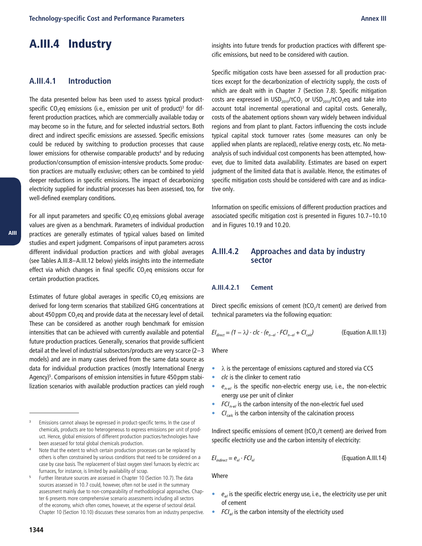## <span id="page-15-0"></span>A.III.4 Industry

#### **A.III.4.1 Introduction**

The data presented below has been used to assess typical productspecific CO $_2$ eq emissions (i.e., emission per unit of product) $^3$  for different production practices, which are commercially available today or may become so in the future, and for selected industrial sectors. Both direct and indirect specific emissions are assessed. Specific emissions could be reduced by switching to production processes that cause lower emissions for otherwise comparable products<sup>4</sup> and by reducing production/consumption of emission-intensive products. Some production practices are mutually exclusive; others can be combined to yield deeper reductions in specific emissions. The impact of decarbonizing electricity supplied for industrial processes has been assessed, too, for well-defined exemplary conditions.

For all input parameters and specific  $CO<sub>2</sub>$ eq emissions global average values are given as a benchmark. Parameters of individual production practices are generally estimates of typical values based on limited studies and expert judgment. Comparisons of input parameters across different individual production practices and with global averages (see Tables A.III.8–A.III.12 below) yields insights into the intermediate effect via which changes in final specific  $CO<sub>2</sub>$ eq emissions occur for certain production practices.

Estimates of future global averages in specific  $CO<sub>2</sub>$ eg emissions are derived for long-term scenarios that stabilized GHG concentrations at about 450 ppm CO<sub>2</sub>eq and provide data at the necessary level of detail. These can be considered as another rough benchmark for emission intensities that can be achieved with currently available and potential future production practices. Generally, scenarios that provide sufficient detail at the level of industrial subsectors/products are very scarce (2–3 models) and are in many cases derived from the same data source as data for individual production practices (mostly International Energy Agency)<sup>5</sup>. Comparisons of emission intensities in future 450 ppm stabilization scenarios with available production practices can yield rough insights into future trends for production practices with different specific emissions, but need to be considered with caution.

Specific mitigation costs have been assessed for all production practices except for the decarbonization of electricity supply, the costs of which are dealt with in Chapter 7 (Section 7.8). Specific mitigation costs are expressed in USD<sub>2010</sub>/tCO<sub>2</sub> or USD<sub>2010</sub>/tCO<sub>2</sub>eq and take into account total incremental operational and capital costs. Generally, costs of the abatement options shown vary widely between individual regions and from plant to plant. Factors influencing the costs include typical capital stock turnover rates (some measures can only be applied when plants are replaced), relative energy costs, etc. No metaanalysis of such individual cost components has been attempted, however, due to limited data availability. Estimates are based on expert judgment of the limited data that is available. Hence, the estimates of specific mitigation costs should be considered with care and as indicative only.

Information on specific emissions of different production practices and associated specific mitigation cost is presented in Figures 10.7–10.10 and in Figures 10.19 and 10.20.

#### **A.III.4.2 Approaches and data by industry sector**

#### **A.III.4.2.1 Cement**

Direct specific emissions of cement (tCO<sub>2</sub>/t cement) are derived from technical parameters via the following equation:

$$
EI_{direct} = (1 - \lambda) \cdot clc \cdot (e_{n-el} \cdot FC_{n-el} + Cl_{cal})
$$
 (Equation A.III.13)

Where

- $\lambda$  is the percentage of emissions captured and stored via CCS
- clc is the clinker to cement ratio
- $e_{n-el}$  is the specific non-electric energy use, i.e., the non-electric energy use per unit of clinker
- FCI<sub>n-el</sub> is the carbon intensity of the non-electric fuel used
- CI<sub>calc</sub> is the carbon intensity of the calcination process

Indirect specific emissions of cement ( $tCO<sub>2</sub>/t$  cement) are derived from specific electricity use and the carbon intensity of electricity:

$$
EI_{indirect} = e_{el} \cdot FCI_{el}
$$
 (Equation A.III.14)

**Where** 

- e<sub>el</sub> is the specific electric energy use, i.e., the electricity use per unit of cement
- $FCI_{el}$  is the carbon intensity of the electricity used

Emissions cannot always be expressed in product-specific terms. In the case of chemicals, products are too heterogeneous to express emissions per unit of product. Hence, global emissions of different production practices/technologies have been assessed for total global chemicals production.

Note that the extent to which certain production processes can be replaced by others is often constrained by various conditions that need to be considered on a case by case basis. The replacement of blast oxygen steel furnaces by electric arc furnaces, for instance, is limited by availability of scrap.

<sup>5</sup> Further literature sources are assessed in Chapter 10 (Section 10.7). The data sources assessed in 10.7 could, however, often not be used in the summary assessment mainly due to non-comparability of methodological approaches. Chapter 6 presents more comprehensive scenario assessments including all sectors of the economy, which often comes, however, at the expense of sectoral detail. Chapter 10 (Section 10.10) discusses these scenarios from an industry perspective.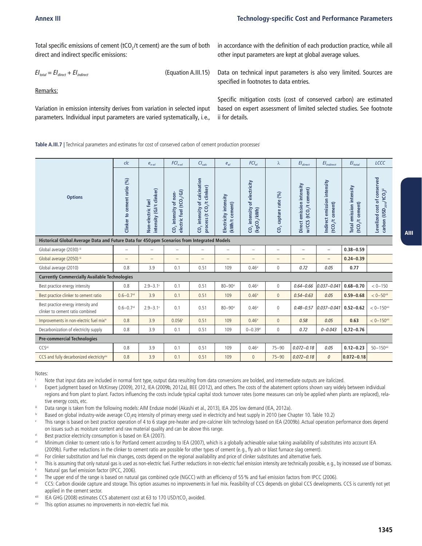Total specific emissions of cement (tCO<sub>2</sub>/t cement) are the sum of both direct and indirect specific emissions:

$$
EI_{total} = EI_{direct} + EI_{indirect}
$$
 (Equation A.III.15)

Remarks:

Variation in emission intensity derives from variation in selected input parameters. Individual input parameters are varied systematically, i.e.,

in accordance with the definition of each production practice, while all other input parameters are kept at global average values.

Data on technical input parameters is also very limited. Sources are specified in footnotes to data entries.

Specific mitigation costs (cost of conserved carbon) are estimated based on expert assessment of limited selected studies. See footnote ii for details.

**Table A.III.7 |** Technical parameters and estimates for cost of conserved carbon of cement production processesi

|                                                                                             | clc                         | $e_{n-el}$                                    | $FCI_{n\text{-}el}$                                                          | $Cl_{calc}$                                                                        | $e_{el}$                                | $FCI_{el}$                                                              | λ                                  | $EI_{direct}$                                           | $El_{indirect}$                                  | $EI_{total}$                                             | LCCC                                                                                  |
|---------------------------------------------------------------------------------------------|-----------------------------|-----------------------------------------------|------------------------------------------------------------------------------|------------------------------------------------------------------------------------|-----------------------------------------|-------------------------------------------------------------------------|------------------------------------|---------------------------------------------------------|--------------------------------------------------|----------------------------------------------------------|---------------------------------------------------------------------------------------|
| <b>Options</b>                                                                              | Clinker to cement ratio (%) | intensity (GJ/t clinker)<br>Non-electric fuel | electric fuel (tCO <sub>2</sub> /GJ)<br>of non-<br>CO <sub>2</sub> intensity | CO <sub>2</sub> intensity of calcination<br>process (t CO <sub>2</sub> /t clinker) | Electricity intensity<br>(kWh/t cement) | of electricity<br>CO <sub>2</sub> intensity<br>(kgCO <sub>2</sub> /kWh) | capture rate (%)<br>$\overline{c}$ | Direct emission intensity<br>$(tCO2/t$ cement)<br>w/CCS | Indirect emission intensity<br>$(tCO2/t$ cement) | Total emission intensity<br>(tCO <sub>2</sub> /t cement) | Levelized cost of conserved<br>carbon $(\text{USD}_{2010}/\text{tCO}_2)^{\text{iii}}$ |
| Historical Global Average Data and Future Data for 450 ppm Scenarios from Integrated Models |                             |                                               |                                                                              |                                                                                    |                                         |                                                                         |                                    |                                                         |                                                  |                                                          |                                                                                       |
| Global average (2030) iii                                                                   | $\overline{\phantom{0}}$    | ÷,                                            | $\equiv$                                                                     | $\overline{\phantom{m}}$                                                           | $\overline{\phantom{m}}$                | $\overline{\phantom{0}}$                                                | L,                                 | ÷,                                                      | $\overline{\phantom{m}}$                         | $0.38 - 0.59$                                            |                                                                                       |
| Global average (2050) iii                                                                   | -                           | $\qquad \qquad -$                             | $\qquad \qquad -$                                                            | $\overline{\phantom{m}}$                                                           | $\overline{\phantom{0}}$                |                                                                         | -                                  | $\overline{\phantom{0}}$                                | $\overline{\phantom{m}}$                         | $0.24 - 0.39$                                            |                                                                                       |
| Global average (2010)                                                                       | 0.8                         | 3.9                                           | 0.1                                                                          | 0.51                                                                               | 109                                     | $0.46^{iv}$                                                             | 0                                  | 0.72                                                    | 0.05                                             | 0.77                                                     |                                                                                       |
| <b>Currently Commercially Available Technologies</b>                                        |                             |                                               |                                                                              |                                                                                    |                                         |                                                                         |                                    |                                                         |                                                  |                                                          |                                                                                       |
| Best practice energy intensity                                                              | 0.8                         | $2.9 - 3.1^{\circ}$                           | 0.1                                                                          | 0.51                                                                               | $80 - 90$ <sup>vi</sup>                 | $0.46^{iv}$                                                             | $\mathbf 0$                        | $0.64 - 0.66$                                           | $0.037 - 0.041$                                  | $0.68 - 0.70$                                            | $< 0 - 150$                                                                           |
| Best practice clinker to cement ratio                                                       | $0.6 - 0.7$ <sup>vii</sup>  | 3.9                                           | 0.1                                                                          | 0.51                                                                               | 109                                     | $0.46^{iv}$                                                             | $\mathbf{0}$                       | $0.54 - 0.63$                                           | 0.05                                             | $0.59 - 0.68$                                            | $< 0 - 50$ <sup>viii</sup>                                                            |
| Best practice energy intensity and<br>clinker to cement ratio combined                      | $0.6 - 0.7$ <sup>vii</sup>  | $2.9 - 3.1$                                   | 0.1                                                                          | 0.51                                                                               | $80 - 90$ <sup>vi</sup>                 | $0.46^{\rm iv}$                                                         | $\Omega$                           | $0.48 - 0.57$                                           | $0.037 - 0.041$                                  | $0.52 - 0.62$                                            | $< 0 - 150$ <sup>viii</sup>                                                           |
| Improvements in non-electric fuel mixix                                                     | 0.8                         | 3.9                                           | $0.056*$                                                                     | 0.51                                                                               | 109                                     | $0.46^{iv}$                                                             | $\theta$                           | 0.58                                                    | 0.05                                             | 0.63                                                     | $< 0 - 150$ <sup>viii</sup>                                                           |
| Decarbonization of electricity supply                                                       | 0.8                         | 3.9                                           | 0.1                                                                          | 0.51                                                                               | 109                                     | $0 - 0.39$ <sup>xi</sup>                                                | $\mathbf{0}$                       | 0.72                                                    | $0 - 0.043$                                      | $0,72 - 0.76$                                            |                                                                                       |
| <b>Pre-commercial Technologies</b>                                                          |                             |                                               |                                                                              |                                                                                    |                                         |                                                                         |                                    |                                                         |                                                  |                                                          |                                                                                       |
| CCSxii                                                                                      | 0.8                         | 3.9                                           | 0.1                                                                          | 0.51                                                                               | 109                                     | $0.46^{iv}$                                                             | $75 - 90$                          | $0.072 - 0.18$                                          | 0.05                                             | $0.12 - 0.23$                                            | $50 - 150$ <sup>xiii</sup>                                                            |
| CCS and fully decarbonized electricityxiv                                                   | 0.8                         | 3.9                                           | 0.1                                                                          | 0.51                                                                               | 109                                     | $\mathbf{0}$                                                            | $75 - 90$                          | $0.072 - 0.18$                                          | 0                                                | $0.072 - 0.18$                                           |                                                                                       |

Notes:

Note that input data are included in normal font type, output data resulting from data conversions are bolded, and intermediate outputs are italicized.

Expert judgment based on McKinsey (2009), 2012, IEA (2009b, 2012a), BEE (2012), and others. The costs of the abatement options shown vary widely between individual regions and from plant to plant. Factors influencing the costs include typical capital stock turnover rates (some measures can only be applied when plants are replaced), relative energy costs, etc.

- Data range is taken from the following models: AIM Enduse model (Akashi et al., 2013), IEA 2DS low demand (IEA, 2012a).
- Based on global industry-wide average CO<sub>3</sub>eg intensity of primary energy used in electricity and heat supply in 2010 (see Chapter 10. Table 10.2)

This range is based on best practice operation of 4 to 6 stage pre-heater and pre-calciner kiln technology based on IEA (2009b). Actual operation performance does depend on issues such as moisture content and raw material quality and can be above this range.

Best practice electricity consumption is based on IEA (2007).

vii Minimum clinker to cement ratio is for Portland cement according to IEA (2007), which is a globally achievable value taking availability of substitutes into account IEA (2009b). Further reductions in the clinker to cement ratio are possible for other types of cement (e.g., fly ash or blast furnace slag cement).

For clinker substitution and fuel mix changes, costs depend on the regional availability and price of clinker substitutes and alternative fuels.

This is assuming that only natural gas is used as non-electric fuel. Further reductions in non-electric fuel emission intensity are technically possible, e.g., by increased use of biomass. Natural gas fuel emission factor (IPCC, 2006).

The upper end of the range is based on natural gas combined cycle (NGCC) with an efficiency of 55 % and fuel emission factors from IPCC (2006).

CCS: Carbon dioxide capture and storage. This option assumes no improvements in fuel mix. Feasibility of CCS depends on global CCS developments. CCS is currently not yet applied in the cement sector.

IEA GHG (2008) estimates CCS abatement cost at 63 to 170 USD/tCO<sub>2</sub> avoided.

This option assumes no improvements in non-electric fuel mix.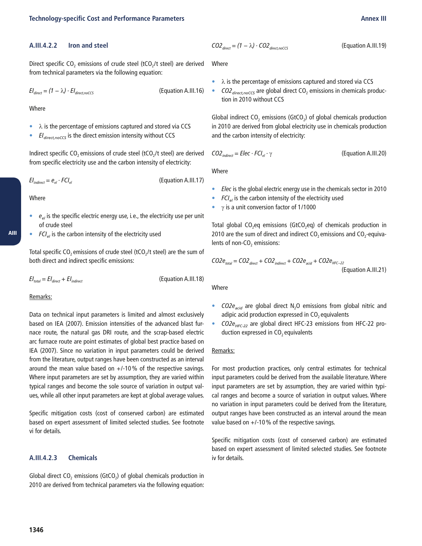#### <span id="page-17-0"></span>**A.III.4.2.2 Iron and steel**

Direct specific CO<sub>2</sub> emissions of crude steel (tCO<sub>2</sub>/t steel) are derived from technical parameters via the following equation:

$$
EI_{direct} = (1 - \lambda) \cdot EI_{direct, noCCs}
$$
 (Equation A.III.16)

Where

- $\lambda$  is the percentage of emissions captured and stored via CCS
- **EI**<sub>direct,noccs</sub> is the direct emission intensity without CCS

Indirect specific CO<sub>2</sub> emissions of crude steel (tCO<sub>2</sub>/t steel) are derived from specific electricity use and the carbon intensity of electricity:

$$
EI_{indirect} = e_{el} \cdot FCI_{el}
$$
 (Equation A.III.17)

Where

- $e_{el}$  is the specific electric energy use, i.e., the electricity use per unit of crude steel
- $FCI_{el}$  is the carbon intensity of the electricity used

Total specific CO<sub>2</sub> emissions of crude steel (tCO<sub>2</sub>/t steel) are the sum of both direct and indirect specific emissions:

 $EI_{total} = EI_{direct} + EI_{indirect}$  (Equation A.III.18)

#### Remarks:

Data on technical input parameters is limited and almost exclusively based on IEA (2007). Emission intensities of the advanced blast furnace route, the natural gas DRI route, and the scrap-based electric arc furnace route are point estimates of global best practice based on IEA (2007). Since no variation in input parameters could be derived from the literature, output ranges have been constructed as an interval around the mean value based on  $+/-10\%$  of the respective savings. Where input parameters are set by assumption, they are varied within typical ranges and become the sole source of variation in output values, while all other input parameters are kept at global average values.

Specific mitigation costs (cost of conserved carbon) are estimated based on expert assessment of limited selected studies. See footnote vi for details.

#### **A.III.4.2.3 Chemicals**

Global direct  $CO<sub>2</sub>$  emissions (GtCO<sub>2</sub>) of global chemicals production in 2010 are derived from technical parameters via the following equation:

$$
CO2direct = (1 - \lambda) \cdot CO2direct, noCC
$$
 (Equation A.III.19)

Where

- $\lambda$  is the percentage of emissions captured and stored via CCS
- CO2<sub>direct,noccs</sub> are global direct CO<sub>2</sub> emissions in chemicals production in 2010 without CCS

Global indirect CO<sub>2</sub> emissions (GtCO<sub>2</sub>) of global chemicals production in 2010 are derived from global electricity use in chemicals production and the carbon intensity of electricity:

$$
CO2indirect = Elec \cdot FCIel \cdot \gamma
$$
 (Equation A.III.20)

Where

- Elec is the global electric energy use in the chemicals sector in 2010
- $FCI_{el}$  is the carbon intensity of the electricity used
- $\gamma$  is a unit conversion factor of 1/1000

Total global  $CO<sub>2</sub>$ eq emissions (GtCO<sub>2</sub>eq) of chemicals production in 2010 are the sum of direct and indirect  $CO<sub>2</sub>$  emissions and  $CO<sub>2</sub>$ -equivalents of non-CO<sub>2</sub> emissions:

$$
CO2e_{total} = CO2_{direct} + CO2_{indirect} + CO2e_{acid} + CO2e_{HFC-22}
$$
\n(Equation A.III.21)

Where

- CO2e<sub>acid</sub> are global direct N<sub>2</sub>O emissions from global nitric and adipic acid production expressed in  $CO<sub>2</sub>$  equivalents
- CO2e<sub>HFC-22</sub> are global direct HFC-23 emissions from HFC-22 production expressed in  $CO<sub>2</sub>$  equivalents

#### Remarks:

For most production practices, only central estimates for technical input parameters could be derived from the available literature. Where input parameters are set by assumption, they are varied within typical ranges and become a source of variation in output values. Where no variation in input parameters could be derived from the literature, output ranges have been constructed as an interval around the mean value based on  $+/-10\%$  of the respective savings.

Specific mitigation costs (cost of conserved carbon) are estimated based on expert assessment of limited selected studies. See footnote iv for details.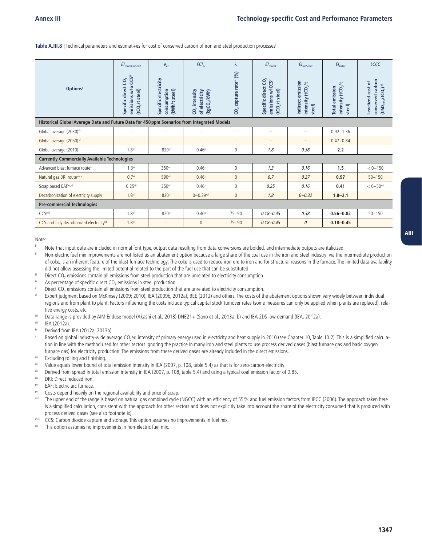#### Table A.III.8 | Technical parameters and estimat+es for cost of conserved carbon of iron and steel production processes<sup>i</sup>

|                                                                                             | $EI_{\text{direct}, \text{noCCS}}$                                                     | $e_{el}$                                             | $FCI_{el}$                                                    | λ                                              | $EI_{direct}$                                                                         | $EI_{indirect}$                                               | $EI_{total}$                                                      | <b>LCCC</b>                                                                          |  |
|---------------------------------------------------------------------------------------------|----------------------------------------------------------------------------------------|------------------------------------------------------|---------------------------------------------------------------|------------------------------------------------|---------------------------------------------------------------------------------------|---------------------------------------------------------------|-------------------------------------------------------------------|--------------------------------------------------------------------------------------|--|
| <b>Optionsii</b>                                                                            | ແຂະ<br>Specific direct CO <sub>2</sub><br>emissions w/o<br>(tCO <sub>2</sub> /t steel) | Specific electricity<br>(kWh/t steel)<br>consumption | $CO2$ intensity<br>(kgCO <sub>2</sub> /kWh)<br>of electricity | CO <sub>2</sub> capture rate <sup>iv</sup> (%) | Specific direct CO <sub>2</sub><br>emissions w/CCS<br>steel)<br>(tCO <sub>2</sub> /t) | Indirect emission<br>intensity (tCO <sub>2</sub> /t<br>steel) | intensity (tCO <sub>2</sub> /t<br><b>Total emission</b><br>steel) | conserved carbon<br>Levelized cost of<br>$(\mathsf{USD}_{20\,10}/\mathsf{tCO}_2)$ vi |  |
| Historical Global Average Data and Future Data for 450 ppm Scenarios from Integrated Models |                                                                                        |                                                      |                                                               |                                                |                                                                                       |                                                               |                                                                   |                                                                                      |  |
| Global average (2030)vii                                                                    | $\overline{\phantom{0}}$                                                               | $\qquad \qquad$                                      | $\overline{\phantom{0}}$                                      | $\qquad \qquad =$                              | $\overline{\phantom{m}}$                                                              | $\overline{\phantom{m}}$                                      | $0.92 - 1.36$                                                     |                                                                                      |  |
| Global average (2050) vii                                                                   | $\overline{\phantom{0}}$                                                               | $\overline{\phantom{0}}$                             | $\qquad \qquad -$                                             | $\qquad \qquad -$                              | $\qquad \qquad -$                                                                     | $\overline{\phantom{0}}$                                      | $0.47 - 0.84$                                                     |                                                                                      |  |
| Global average (2010)                                                                       | 1.8viii                                                                                | 820 <sup>ix</sup>                                    | 0.46 <sup>x</sup>                                             | 0                                              | 1.8                                                                                   | 0.38                                                          | 2.2                                                               |                                                                                      |  |
| <b>Currently Commercially Available Technologies</b>                                        |                                                                                        |                                                      |                                                               |                                                |                                                                                       |                                                               |                                                                   |                                                                                      |  |
| Advanced blast furnace routexi                                                              | 1.3 <sup>xii</sup>                                                                     | $350$ <sup>xiii</sup>                                | $0.46^x$                                                      | $\Omega$                                       | 1.3                                                                                   | 0.16                                                          | 1.5                                                               | $< 0 - 150$                                                                          |  |
| Natural gas DRI routexiv, xi                                                                | 0.7 <sup>xii</sup>                                                                     | 590xiii                                              | 0.46 <sup>x</sup>                                             | $\mathbf{0}$                                   | 0.7                                                                                   | 0.27                                                          | 0.97                                                              | $50 - 150$                                                                           |  |
| Scrap based EAFxv, xi                                                                       | $0.25$ <sup>xii</sup>                                                                  | 350xiii                                              | $0.46*$                                                       | 0                                              | 0.25                                                                                  | 0.16                                                          | 0.41                                                              | $< 0 - 50$ <sup>xvi</sup>                                                            |  |
| Decarbonization of electricity supply                                                       | $1.8$ <sup>viii</sup>                                                                  | 820 <sup>ix</sup>                                    | $0 - 0.39$ <sup>xvii</sup>                                    | $\mathbf{0}$                                   | 1.8                                                                                   | $0 - 0.32$                                                    | $1.8 - 2.1$                                                       |                                                                                      |  |
| <b>Pre-commercial Technologies</b>                                                          |                                                                                        |                                                      |                                                               |                                                |                                                                                       |                                                               |                                                                   |                                                                                      |  |
| CCSxviii                                                                                    | 1.8viii                                                                                | 820 <sup>ix</sup>                                    | $0.46*$                                                       | $75 - 90$                                      | $0.18 - 0.45$                                                                         | 0.38                                                          | $0.56 - 0.82$                                                     | $50 - 150$                                                                           |  |
| CCS and fully decarbonized electricity <sup>xix</sup>                                       | $1.8$ <sup>viii</sup>                                                                  | $\overline{\phantom{0}}$                             | $\mathbf{0}$                                                  | $75 - 90$                                      | $0.18 - 0.45$                                                                         | $\theta$                                                      | $0.18 - 0.45$                                                     |                                                                                      |  |

Note:

Note that input data are included in normal font type, output data resulting from data conversions are bolded, and intermediate outputs are italicized.

Non-electric fuel mix improvements are not listed as an abatement option because a large share of the coal use in the iron and steel industry, via the intermediate production of coke, is an inherent feature of the blast furnace technology. The coke is used to reduce iron ore to iron and for structural reasons in the furnace. The limited data availability did not allow assessing the limited potential related to the part of the fuel use that can be substituted.

iii Direct CO<sub>2</sub> emissions contain all emissions from steel production that are unrelated to electricity consumption.

As percentage of specific direct CO<sub>2</sub> emissions in steel production.

Direct CO<sub>2</sub> emissions contain all emissions from steel production that are unrelated to electricity consumption.

Expert judgment based on McKinsey (2009; 2010), IEA (2009b, 2012a), BEE (2012) and others. The costs of the abatement options shown vary widely between individual regions and from plant to plant. Factors influencing the costs include typical capital stock turnover rates (some measures can only be applied when plants are replaced), relative energy costs, etc.

Data range is provided by AIM Enduse model (Akashi et al., 2013) DNE21+ (Sano et al., 2013a; b) and IEA 2DS low demand (IEA, 2012a).

IEA (2012a).

Derived from IEA (2012a, 2013b).

Based on global industry-wide average CO<sub>2</sub>eq intensity of primary energy used in electricity and heat supply in 2010 (see Chapter 10, Table 10.2). This is a simplified calculation in line with the method used for other sectors ignoring the practice in many iron and steel plants to use process derived gases (blast furnace gas and basic oxygen furnace gas) for electricity production. The emissions from these derived gases are already included in the direct emissions.

xii Excluding rolling and finishing.

Value equals lower bound of total emission intensity in IEA (2007, p. 108, table 5.4) as that is for zero-carbon electricity.

Derived from spread in total emission intensity in IEA (2007, p. 108, table 5.4) and using a typical coal emission factor of 0.85.

DRI: Direct reduced iron.

EAF: Electric arc furnace.

Costs depend heavily on the regional availability and price of scrap.

xvii The upper end of the range is based on natural gas combined cycle (NGCC) with an efficiency of 55% and fuel emission factors from IPCC (2006). The approach taken here is a simplified calculation, consistent with the approach for other sectors and does not explicitly take into account the share of the electricity consumed that is produced with process derived gases (see also footnote ix).

**xviii** CCS: Carbon dioxide capture and storage. This option assumes no improvements in fuel mix.

This option assumes no improvements in non-electric fuel mix.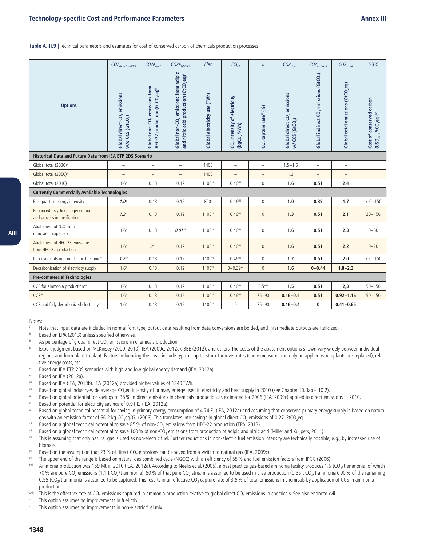#### **Table A.III.9 |** Technical parameters and estimates for cost of conserved carbon of chemicals production processes i

|                                                                 | $CO2$ direct, no CCS                                             | $CO2e_{acid}$                                                                             | $CO2e$ <sub>HFC-22</sub>                                                                                            | Elec                         | $FCI_{el}$                                                           | λ                                               | CO2 <sub>direct</sub>                                     | $CO2$ <sub>indirect</sub>                                      | CO2 <sub>total</sub>                          | <b>LCCC</b>                                             |
|-----------------------------------------------------------------|------------------------------------------------------------------|-------------------------------------------------------------------------------------------|---------------------------------------------------------------------------------------------------------------------|------------------------------|----------------------------------------------------------------------|-------------------------------------------------|-----------------------------------------------------------|----------------------------------------------------------------|-----------------------------------------------|---------------------------------------------------------|
| <b>Options</b>                                                  | Global direct CO <sub>2</sub> emissions<br>CCS (GtCO2)<br>$W$ lo | emissions from<br>HFC-22 production (GtCO <sub>2</sub> eq)"<br>Global non-CO <sub>2</sub> | Global non-CO <sub>2</sub> emissions from adipic<br>and nitric acid production (GtCO <sub>2</sub> eq) <sup>ii</sup> | Global electricity use (TWh) | CO <sub>2</sub> intensity of electricity<br>(kgCO <sub>2</sub> /kWh) | CO <sub>2</sub> capture rate <sup>iii</sup> (%) | Global direct CO <sub>2</sub> emissions<br>w/ CCS (GtCO2) | Global indirect CO <sub>2</sub> emissions (GtCO <sub>2</sub> ) | Global total emissions (GtCO <sub>2</sub> eq) | Cost of conserved carbon<br>$(USD_{2010}/tCO_2eq)^{iv}$ |
| Historical Data and Future Data from IEA ETP 2DS Scenario       |                                                                  |                                                                                           |                                                                                                                     |                              |                                                                      |                                                 |                                                           |                                                                |                                               |                                                         |
| Global total (2030) <sup>v</sup>                                | $\qquad \qquad -$                                                | $\equiv$                                                                                  | $\overline{\phantom{a}}$                                                                                            | 1400                         | $\overline{\phantom{m}}$                                             | $\equiv$                                        | $1.5 - 1.6$                                               | $\overline{\phantom{0}}$                                       | $\overline{\phantom{0}}$                      |                                                         |
| Global total (2050) <sup>v</sup>                                | $\qquad \qquad -$                                                | $\qquad \qquad -$                                                                         | $\overline{\phantom{a}}$                                                                                            | 1400                         | $\qquad \qquad -$                                                    | $\overline{\phantom{0}}$                        | 1.3                                                       | $\overline{\phantom{a}}$                                       | $\overline{\phantom{m}}$                      |                                                         |
| Global total (2010)                                             | 1.6 <sup>vi</sup>                                                | 0.13                                                                                      | 0.12                                                                                                                | 1100vii                      | $0.46$ <sup>viii</sup>                                               | 0                                               | 1.6                                                       | 0.51                                                           | 2.4                                           |                                                         |
| <b>Currently Commercially Available Technologies</b>            |                                                                  |                                                                                           |                                                                                                                     |                              |                                                                      |                                                 |                                                           |                                                                |                                               |                                                         |
| Best practice energy intensity                                  | 1.0 <sup>ix</sup>                                                | 0.13                                                                                      | 0.12                                                                                                                | 860 <sup>x</sup>             | $0.46$ <sup>viii</sup>                                               | $\mathbf 0$                                     | 1.0                                                       | 0.39                                                           | 1.7                                           | $< 0 - 150$                                             |
| Enhanced recycling, cogeneration<br>and process intensification | $1.3^{xi}$                                                       | 0.13                                                                                      | 0.12                                                                                                                | 1100vii                      | $0.46$ <sup>viii</sup>                                               | $\mathbf{0}$                                    | 1.3                                                       | 0.51                                                           | 2.1                                           | $20 - 150$                                              |
| Abatement of N <sub>2</sub> O from<br>nitric and adipic acid    | 1.6 <sup>vi</sup>                                                | 0.13                                                                                      | $0.01$ <sup>xii</sup>                                                                                               | 1100vii                      | $0.46$ <sup>viii</sup>                                               | $\mathbf 0$                                     | 1.6                                                       | 0.51                                                           | 2.3                                           | $0 - 50$                                                |
| Abatement of HFC-23 emissions<br>from HFC-22 production         | 1.6 <sup>vi</sup>                                                | $O^{\times iii}$                                                                          | 0.12                                                                                                                | 1100vii                      | $0.46$ <sup>viii</sup>                                               | $\mathbf{0}$                                    | 1.6                                                       | 0.51                                                           | 2.2                                           | $0 - 20$                                                |
| Improvements in non-electric fuel mixxiv                        | $1.2^{x}$                                                        | 0.13                                                                                      | 0.12                                                                                                                | 1100vii                      | $0.46$ <sup>viii</sup>                                               | $\mathsf{O}\xspace$                             | 1.2                                                       | 0.51                                                           | 2.0                                           | $< 0 - 150$                                             |
| Decarbonization of electricity supply                           | $1.6$ <sup>vi</sup>                                              | 0.13                                                                                      | 0.12                                                                                                                | 1100vii                      | $0 - 0.39$ <sub>xvi</sub>                                            | $\overline{0}$                                  | 1.6                                                       | $0 - 0.44$                                                     | $1.8 - 2.3$                                   |                                                         |
| <b>Pre-commercial Technologies</b>                              |                                                                  |                                                                                           |                                                                                                                     |                              |                                                                      |                                                 |                                                           |                                                                |                                               |                                                         |
| CCS for ammonia production <sup>xvii</sup>                      | 1.6 <sup>vi</sup>                                                | 0.13                                                                                      | 0.12                                                                                                                | 1100vii                      | $0.46$ <sup>viii</sup>                                               | 3.5 <sup>xviii</sup>                            | 1.5                                                       | 0.51                                                           | 2,3                                           | $50 - 150$                                              |
| CCSxix                                                          | $1.6$ <sup>vi</sup>                                              | 0.13                                                                                      | 0.12                                                                                                                | 1100vii                      | $0.46$ <sup>viii</sup>                                               | $75 - 90$                                       | $0.16 - 0.4$                                              | 0.51                                                           | $0.92 - 1.16$                                 | $50 - 150$                                              |
| CCS and fully decarbonized electricity <sup>xx</sup>            | 1.6 <sup>vi</sup>                                                | 0.13                                                                                      | 0.12                                                                                                                | 1100vii                      | $\mathsf{O}\xspace$                                                  | $75 - 90$                                       | $0.16 - 0.4$                                              | 0                                                              | $0.41 - 0.65$                                 |                                                         |

Notes:

Note that input data are included in normal font type, output data resulting from data conversions are bolded, and intermediate outputs are italicized.

- Based on EPA (2013) unless specified otherwise.
- As percentage of global direct  $CO<sub>2</sub>$  emissions in chemicals production.
- Expert judgment based on McKinsey (2009; 2010), IEA (2009c, 2012a), BEE (2012), and others. The costs of the abatement options shown vary widely between individual regions and from plant to plant. Factors influencing the costs include typical capital stock turnover rates (some measures can only be applied when plants are replaced), relative energy costs, etc.
- Based on IEA ETP 2DS scenarios with high and low global energy demand (IEA, 2012a).
- Based on IEA (2012a).
- Based on IEA (IEA, 2013b). IEA (2012a) provided higher values of 1340 TWh.
- Based on global industry-wide average CO<sub>2</sub>eq intensity of primary energy used in electricity and heat supply in 2010 (see Chapter 10. Table 10.2).
- Based on global potential for savings of 35 % in direct emissions in chemicals production as estimated for 2006 (IEA, 2009c) applied to direct emissions in 2010.
- Based on potential for electricity savings of 0.91 EJ (IEA, 2012a).
- Based on global technical potential for saving in primary energy consumption of 4.74 EJ (IEA, 2012a) and assuming that conserved primary energy supply is based on natural gas with an emission factor of 56.2 kg CO<sub>2</sub>eq/GJ (2006). This translates into savings in global direct CO<sub>2</sub> emissions of 0.27 GtCO<sub>2</sub>eq.
- xii Based on a global technical potential to save 85% of non-CO2 emissions from HFC-22 production (EPA, 2013).
- $\frac{x}{10}$  Based on a global technical potential to save 100% of non-CO<sub>2</sub> emissions from production of adipic and nitric acid (Miller and Kuijpers, 2011)<br>In This is assuming that only natural gas is used as non-electric f
- This is assuming that only natural gas is used as non-electric fuel. Further reductions in non-electric fuel emission intensity are technically possible, e.g., by increased use of biomass.
- Based on the assumption that 23% of direct  $CO_2$  emissions can be saved from a switch to natural gas (IEA, 2009c).
- The upper end of the range is based on natural gas combined cycle (NGCC) with an efficiency of 55% and fuel emission factors from IPCC (2006).
- Ammonia production was 159 Mt in 2010 (IEA, 2012a). According to Neelis et al. (2005), a best practice gas-based ammonia facility produces 1.6 tCO<sub>2</sub>/t ammonia, of which 70% are pure CO<sub>2</sub> emissions (1.1 t CO<sub>2</sub>/t ammonia). 50% of that pure CO<sub>2</sub> stream is assumed to be used in urea production (0.55 t CO<sub>2</sub>/t ammonia). 90% of the remaining 0.55 tCO<sub>2</sub>/t ammonia is assumed to be captured. This results in an effective CO<sub>2</sub> capture rate of 3.5% of total emissions in chemicals by application of CCS in ammonia production.
- <sup>xviii</sup> This is the effective rate of CO<sub>2</sub> emissions captured in ammonia production relative to global direct CO<sub>2</sub> emissions in chemicals. See also endnote xvii.
- This option assumes no improvements in fuel mix.
- <sup>xx</sup> This option assumes no improvements in non-electric fuel mix.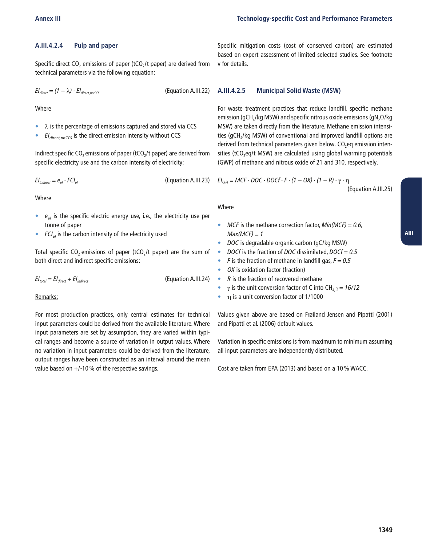#### <span id="page-20-0"></span>**A.III.4.2.4 Pulp and paper**

Specific direct  $CO<sub>2</sub>$  emissions of paper (tCO<sub>2</sub>/t paper) are derived from technical parameters via the following equation:

$$
EI_{direct} = (1 - \lambda) \cdot EI_{direct, noCCS}
$$

- $\lambda$  is the percentage of emissions captured and stored via CCS
- **EI**<sub>direct,noccs</sub> is the direct emission intensity without CCS

Indirect specific CO<sub>2</sub> emissions of paper (tCO<sub>2</sub>/t paper) are derived from specific electricity use and the carbon intensity of electricity:

 $EI_{indirect} = e_{el} \cdot FCI_{el}$  (Equation A.III.23)

Where

**Where** 

- $e_{el}$  is the specific electric energy use, i.e., the electricity use per tonne of paper
- FCI<sub>el</sub> is the carbon intensity of the electricity used

Total specific CO<sub>2</sub> emissions of paper (tCO<sub>2</sub>/t paper) are the sum of both direct and indirect specific emissions:

 $EI_{total} = EI_{direct} + EI_{indirect}$  (Equation A.III.24)

#### Remarks:

For most production practices, only central estimates for technical input parameters could be derived from the available literature. Where input parameters are set by assumption, they are varied within typical ranges and become a source of variation in output values. Where no variation in input parameters could be derived from the literature, output ranges have been constructed as an interval around the mean value based on  $+/-10\%$  of the respective savings.

Specific mitigation costs (cost of conserved carbon) are estimated based on expert assessment of limited selected studies. See footnote v for details.

#### (Equation A.III.22) **A.III.4.2.5 Municipal Solid Waste (MSW)**

For waste treatment practices that reduce landfill, specific methane emission (gCH<sub>4</sub>/kg MSW) and specific nitrous oxide emissions (gN<sub>2</sub>O/kg MSW) are taken directly from the literature. Methane emission intensities (gCH $_4$ /kg MSW) of conventional and improved landfill options are derived from technical parameters given below. CO<sub>2</sub>eq emission intensities ( $tCO_2$ eq/t MSW) are calculated using global warming potentials (GWP) of methane and nitrous oxide of 21 and 310, respectively.

$$
EI_{CH4} = MCF \cdot DOC \cdot DOCf \cdot F \cdot (1 - OX) \cdot (1 - R) \cdot \gamma \cdot \eta
$$
\n(Equation A.III.25)

Where

- *MCF* is the methane correction factor,  $Min(MCF) = 0.6$ ,  $Max(MCF) = 1$
- DOC is degradable organic carbon (gC/kg MSW)
- DOCf is the fraction of DOC dissimilated,  $DOCf = 0.5$
- *F* is the fraction of methane in landfill gas,  $F = 0.5$
- $OX$  is oxidation factor (fraction)
- *is the fraction of recovered methane*
- $\gamma$  is the unit conversion factor of C into CH<sub>4</sub>  $\gamma$  = 16/12
- η is a unit conversion factor of 1/1000

Values given above are based on Frøiland Jensen and Pipatti (2001) and Pipatti et al. (2006) default values.

Variation in specific emissions is from maximum to minimum assuming all input parameters are independently distributed.

Cost are taken from EPA (2013) and based on a 10% WACC.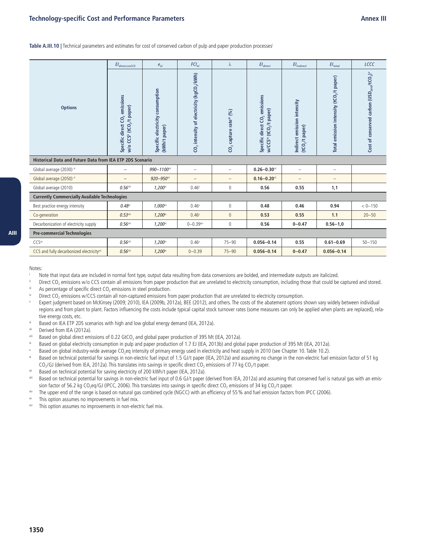Table A.III.10 | Technical parameters and estimates for cost of conserved carbon of pulp and paper production processes<sup>i</sup>

|                                                                  | $EI_{\text{direct}, \text{noCCS}}$                                                   | $e_{el}$                                          | $FCI_{el}$                                                        | $\lambda$                                      | $EI_{direct}$                                                                                       | $EI$ <sub>indirect</sub>                                   | $EI_{total}$                                         | LCCC                                                                           |
|------------------------------------------------------------------|--------------------------------------------------------------------------------------|---------------------------------------------------|-------------------------------------------------------------------|------------------------------------------------|-----------------------------------------------------------------------------------------------------|------------------------------------------------------------|------------------------------------------------------|--------------------------------------------------------------------------------|
| <b>Options</b>                                                   | emissions<br>w/o CCS" (tCO <sub>2</sub> /t paper)<br>Specific direct CO <sub>2</sub> | Specific electricity consumption<br>(kWh/t paper) | CO <sub>2</sub> intensity of electricity (kgCO <sub>2</sub> /kWh) | CO <sub>2</sub> capture rate <sup>ii</sup> (%) | Spedfic direct CO <sub>2</sub> emissions<br>w/CCS" (tCO <sub>2</sub> /t paper)<br>$(tCO_2/t$ paper) | Indirect emission intensity<br>(tCO <sub>2</sub> /t paper) | Total emission intensity (tCO <sub>2</sub> /t paper) | Cost of conserved carbon (USD <sub>2010</sub> /tCO <sub>2</sub> ) <sup>v</sup> |
| <b>Historical Data and Future Data from IEA ETP 2DS Scenario</b> |                                                                                      |                                                   |                                                                   |                                                |                                                                                                     |                                                            |                                                      |                                                                                |
| Global average (2030) vi                                         | $\overline{\phantom{0}}$                                                             | 990-1100 <sup>vii</sup>                           | $\overline{\phantom{a}}$                                          | $\overline{\phantom{0}}$                       | $0.26 - 0.30$ <sup>vii</sup>                                                                        | $\overline{\phantom{m}}$                                   | $\qquad \qquad -$                                    |                                                                                |
| Global average (2050) vi                                         |                                                                                      | 920-950vii                                        | $\overline{\phantom{m}}$                                          | -                                              | $0.16 - 0.20$ <sup>vii</sup>                                                                        | $\overline{\phantom{m}}$                                   | -                                                    |                                                                                |
| Global average (2010)                                            | $0.56$ <sup>viii</sup>                                                               | $1,200^{\rm in}$                                  | 0.46 <sup>x</sup>                                                 | $\mathbf 0$                                    | 0.56                                                                                                | 0.55                                                       | 1,1                                                  |                                                                                |
| <b>Currently Commercially Available Technologies</b>             |                                                                                      |                                                   |                                                                   |                                                |                                                                                                     |                                                            |                                                      |                                                                                |
| Best practice energy intensity                                   | $0.48$ <sup>xi</sup>                                                                 | 1.000 <sup>xii</sup>                              | $0.46^{x}$                                                        | $\overline{0}$                                 | 0.48                                                                                                | 0.46                                                       | 0.94                                                 | $< 0 - 150$                                                                    |
| Co-generation                                                    | $0.53$ <sup>xiii</sup>                                                               | $1,200^{\rm ix}$                                  | $0.46^{x}$                                                        | $\mathbf{0}$                                   | 0.53                                                                                                | 0.55                                                       | 1.1                                                  | $20 - 50$                                                                      |
| Decarbonization of electricity supply                            | $0.56$ <sup>viii</sup>                                                               | 1,200 <sup>ix</sup>                               | $0 - 0.39xiv$                                                     | $\mathbf{0}$                                   | 0.56                                                                                                | $0 - 0.47$                                                 | $0.56 - 1.0$                                         |                                                                                |
| <b>Pre-commercial Technologies</b>                               |                                                                                      |                                                   |                                                                   |                                                |                                                                                                     |                                                            |                                                      |                                                                                |
| CCS <sup>xv</sup>                                                | 0.56viii                                                                             | 1,200 <sup>ix</sup>                               | $0.46^{x}$                                                        | $75 - 90$                                      | $0.056 - 0.14$                                                                                      | 0.55                                                       | $0.61 - 0.69$                                        | $50 - 150$                                                                     |
| CCS and fully decarbonized electricity <sup>xvi</sup>            | 0.56viii                                                                             | $1,200^{\rm ix}$                                  | $0 - 0.39$                                                        | $75 - 90$                                      | $0.056 - 0.14$                                                                                      | $0 - 0.47$                                                 | $0.056 - 0.14$                                       |                                                                                |

Notes:

Note that input data are included in normal font type, output data resulting from data conversions are bolded, and intermediate outputs are italicized.

Direct CO<sub>2</sub> emissions w/o CCS contain all emissions from paper production that are unrelated to electricity consumption, including those that could be captured and stored. As percentage of specific direct CO<sub>2</sub> emissions in steel production.

Direct CO<sub>2</sub> emissions w/CCS contain all non-captured emissions from paper production that are unrelated to electricity consumption.

<sup>v</sup> Expert judgment based on McKinsey (2009; 2010), IEA (2009b, 2012a), BEE (2012), and others. The costs of the abatement options shown vary widely between individual regions and from plant to plant. Factors influencing the costs include typical capital stock turnover rates (some measures can only be applied when plants are replaced), relative energy costs, etc.

Based on IEA ETP 2DS scenarios with high and low global energy demand (IEA, 2012a).

Derived from IEA (2012a).

Based on global direct emissions of 0.22 GtCO<sub>2</sub> and global paper production of 395 Mt (IEA, 2012a).

Based on global electricity consumption in pulp and paper production of 1.7 EJ (IEA, 2013b) and global paper production of 395 Mt (IEA, 2012a).

Based on global industry-wide average CO<sub>2</sub>eq intensity of primary energy used in electricity and heat supply in 2010 (see Chapter 10. Table 10.2).

Based on technical potential for savings in non-electric fuel input of 1.5 GJ/t paper (IEA, 2012a) and assuming no change in the non-electric fuel emission factor of 51 kg CO<sub>2</sub>/GJ (derived from IEA, 2012a). This translates into savings in specific direct CO<sub>2</sub> emissions of 77 kg CO<sub>2</sub>/t paper.

xii Based on technical potential for saving electricity of 200 kWh/t paper (IEA, 2012a).

xiii Based on technical potential for savings in non-electric fuel input of 0.6 GJ/t paper (derived from IEA, 2012a) and assuming that conserved fuel is natural gas with an emission factor of 56.2 kg CO<sub>2</sub>eq/GJ (IPCC, 2006). This translates into savings in specific direct CO<sub>2</sub> emissions of 34 kg CO<sub>2</sub>/t paper.

xiv The upper end of the range is based on natural gas combined cycle (NGCC) with an efficiency of 55% and fuel emission factors from IPCC (2006).

This option assumes no improvements in fuel mix.

xvi This option assumes no improvements in non-electric fuel mix.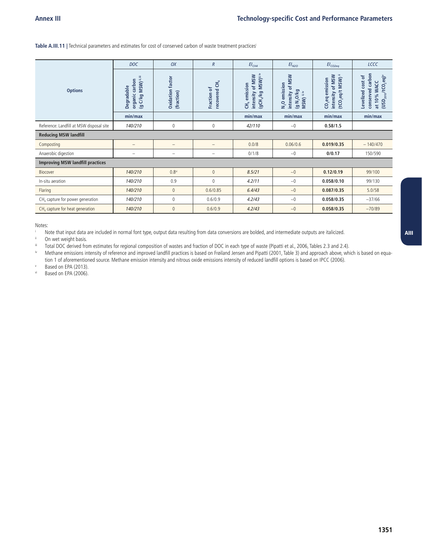#### **Table A.III.11 |** Technical parameters and estimates for cost of conserved carbon of waste treatment practicesi

|                                          | <b>DOC</b>                                                    | OX                                    | $\overline{R}$                           | El <sub>CH4</sub>                                                                              | EI <sub>N2O</sub>                                                                      | $El_{co2eq}$                                                                         | <b>LCCC</b>                                                                        |  |
|------------------------------------------|---------------------------------------------------------------|---------------------------------------|------------------------------------------|------------------------------------------------------------------------------------------------|----------------------------------------------------------------------------------------|--------------------------------------------------------------------------------------|------------------------------------------------------------------------------------|--|
| <b>Options</b>                           | C/kg MSW) ii. iii<br>organic carbon<br><b>Degradable</b><br>ම | <b>Oxidation factor</b><br>(fraction) | recovered CH <sub>4</sub><br>Fraction of | (gCH <sub>4</sub> /kg MSW) <sup>ii iv</sup><br>of MSW<br>CH <sub>4</sub> emission<br>intensity | intensity of MSW<br>N <sub>2</sub> O emission<br>(g N <sub>2</sub> O/kg)<br>MSW) ii.iv | intensity of MSW<br>(tCO <sub>2</sub> eq/t MSW) <sup>"</sup><br>emission<br>$CO2$ eq | conserved carbon<br>Levelized cost of<br>$(USD_{2010}/tCO_2eq)^{v}$<br>at 10% WACC |  |
|                                          | min/max                                                       |                                       |                                          | min/max                                                                                        | min/max                                                                                | min/max                                                                              | min/max                                                                            |  |
| Reference: Landfill at MSW disposal site | 140/210                                                       | 0                                     | $\mathbf{0}$                             | 42/110                                                                                         | ~10                                                                                    | 0.58/1.5                                                                             |                                                                                    |  |
| <b>Reducing MSW landfill</b>             |                                                               |                                       |                                          |                                                                                                |                                                                                        |                                                                                      |                                                                                    |  |
| Composting                               | $\qquad \qquad -$                                             |                                       | $\qquad \qquad -$                        | 0.0/8                                                                                          | 0.06/0.6                                                                               | 0.019/0.35                                                                           | $-140/470$                                                                         |  |
| Anaerobic digestion                      | -                                                             | $\overline{\phantom{0}}$              | -                                        | 0/1/8                                                                                          | ~10                                                                                    | 0/0.17                                                                               | 150/590                                                                            |  |
| <b>Improving MSW landfill practices</b>  |                                                               |                                       |                                          |                                                                                                |                                                                                        |                                                                                      |                                                                                    |  |
| Biocover                                 | 140/210                                                       | $0.8$ <sup>vi</sup>                   | $\mathbf{0}$                             | 8.5/21                                                                                         | $\sim 0$                                                                               | 0.12/0.19                                                                            | 99/100                                                                             |  |
| In-situ aeration                         | 140/210                                                       | 0.9                                   | $\mathbf{0}$                             | 4.2/11                                                                                         | $\sim 0$                                                                               | 0.058/0.10                                                                           | 99/130                                                                             |  |
| Flaring                                  | 140/210                                                       | $\mathbf{0}$                          | 0.6/0.85                                 | 6.4/43                                                                                         | $\sim 0$                                                                               | 0.087/0.35                                                                           | 5.0/58                                                                             |  |
| $CH4$ capture for power generation       | 140/210                                                       | $\mathbf 0$                           | 0.6/0.9                                  | 4.2/43                                                                                         | $\sim 0$                                                                               | 0.058/0.35                                                                           | $-37/66$                                                                           |  |
| $CH4$ capture for heat generation        | 140/210                                                       | $\theta$                              | 0.6/0.9                                  | 4.2/43                                                                                         | $\sim 0$                                                                               | 0.058/0.35                                                                           | $-70/89$                                                                           |  |

Notes:

<sup>i</sup> Note that input data are included in normal font type, output data resulting from data conversions are bolded, and intermediate outputs are italicized.<br>
<sup>ii</sup> On wet weight basis

ii On wet weight basis.

Total DOC derived from estimates for regional composition of wastes and fraction of DOC in each type of waste (Pipatti et al., 2006, Tables 2.3 and 2.4).

iv Methane emissions intensity of reference and improved landfill practices is based on Frøiland Jensen and Pipatti (2001, Table 3) and approach above, which is based on equation 1 of aforementioned source. Methane emission intensity and nitrous oxide emissions intensity of reduced landfill options is based on IPCC (2006).

Based on EPA (2013).

vi Based on EPA (2006).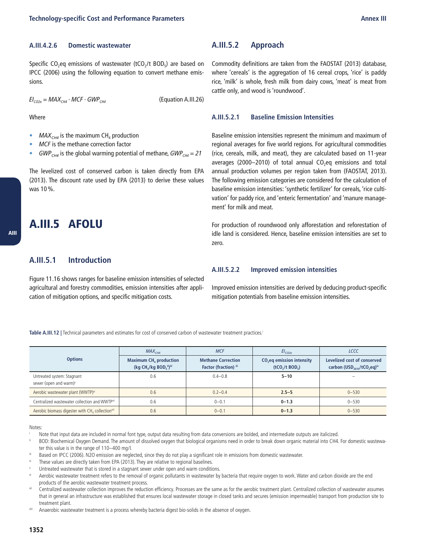#### <span id="page-23-0"></span>**A.III.4.2.6 Domestic wastewater**

Specific CO<sub>2</sub>eq emissions of wastewater (tCO<sub>2</sub>/t BOD<sub>5</sub>) are based on IPCC (2006) using the following equation to convert methane emissions.

 $El_{CQ2e} = MAX_{CHA} \cdot MCF \cdot GWP_{CHA}$  (Equation A.III.26)

Where

- $MAX_{CH4}$  is the maximum  $CH_4$  production
- $MCF$  is the methane correction factor
- *GWP<sub>CH4</sub>* is the global warming potential of methane, *GWP<sub>CH4</sub>* = 21

The levelized cost of conserved carbon is taken directly from EPA (2013). The discount rate used by EPA (2013) to derive these values was 10%.

## A.III.5 AFOLU

#### **A.III.5.1 Introduction**

Figure 11.16 shows ranges for baseline emission intensities of selected agricultural and forestry commodities, emission intensities after application of mitigation options, and specific mitigation costs.

#### **A.III.5.2 Approach**

Commodity definitions are taken from the FAOSTAT (2013) database, where 'cereals' is the aggregation of 16 cereal crops, 'rice' is paddy rice, 'milk' is whole, fresh milk from dairy cows, 'meat' is meat from cattle only, and wood is 'roundwood'.

#### **A.III.5.2.1 Baseline Emission Intensities**

Baseline emission intensities represent the minimum and maximum of regional averages for five world regions. For agricultural commodities (rice, cereals, milk, and meat), they are calculated based on 11-year averages (2000-2010) of total annual  $CO<sub>2</sub>$ eq emissions and total annual production volumes per region taken from (FAOSTAT, 2013). The following emission categories are considered for the calculation of baseline emission intensities: 'synthetic fertilizer' for cereals, 'rice cultivation' for paddy rice, and 'enteric fermentation' and 'manure management' for milk and meat.

For production of roundwood only afforestation and reforestation of idle land is considered. Hence, baseline emission intensities are set to zero.

#### **A.III.5.2.2 Improved emission intensities**

Improved emission intensities are derived by deducing product-specific mitigation potentials from baseline emission intensities.

**Table A.III.12 |** Technical parameters and estimates for cost of conserved carbon of wastewater treatment practices.i

|                                                                  | $MAX_{CH4}$                                                                                 | <b>MCF</b>                                         | $El_{CO2e}$                                                                      | <b>LCCC</b>                                                                                    |  |
|------------------------------------------------------------------|---------------------------------------------------------------------------------------------|----------------------------------------------------|----------------------------------------------------------------------------------|------------------------------------------------------------------------------------------------|--|
| <b>Options</b>                                                   | <b>Maximum CH<sub>4</sub></b> production<br>(kg CH <sub>4</sub> /kg BOD <sub>5</sub> ii)iii | <b>Methane Correction</b><br>Factor (fraction) iii | CO <sub>2</sub> eq emission intensity<br>(tCO <sub>2</sub> /t BOD <sub>5</sub> ) | Levelized cost of conserved<br>carbon (USD <sub>2010</sub> /tCO <sub>2</sub> eq) <sup>iv</sup> |  |
| Untreated system: Stagnant<br>sewer (open and warm) <sup>v</sup> | 0.6                                                                                         | $0.4 - 0.8$                                        | $5 - 10$                                                                         |                                                                                                |  |
| Aerobic wastewater plant (WWTP)vi                                | 0.6                                                                                         | $0.2 - 0.4$                                        | $2.5 - 5$                                                                        | $0 - 530$                                                                                      |  |
| Centralized wastewater collection and WWTPvii                    | 0.6                                                                                         | $0 - 0.1$                                          | $0 - 1.3$                                                                        | $0 - 530$                                                                                      |  |
| Aerobic biomass digester with CH, collectionvill                 | 0.6                                                                                         | $0 - 0.1$                                          | $0 - 1.3$                                                                        | $0 - 530$                                                                                      |  |

Notes:

Note that input data are included in normal font type, output data resulting from data conversions are bolded, and intermediate outputs are italicized.

- BOD: Biochemical Oxygen Demand. The amount of dissolved oxygen that biological organisms need in order to break down organic material into CH4. For domestic wastewater this value is in the range of 110–400 mg/l.
- Based on IPCC (2006). N2O emission are neglected, since they do not play a significant role in emissions from domestic wastewater.

These values are directly taken from EPA (2013). They are relative to regional baselines.

- Untreated wastewater that is stored in a stagnant sewer under open and warm conditions.
- Aerobic wastewater treatment refers to the removal of organic pollutants in wastewater by bacteria that require oxygen to work. Water and carbon dioxide are the end products of the aerobic wastewater treatment process.
- vii Centralized wastewater collection improves the reduction efficiency. Processes are the same as for the aerobic treatment plant. Centralized collection of wastewater assumes that in general an infrastructure was established that ensures local wastewater storage in closed tanks and secures (emission impermeable) transport from production site to treatment plant.

Anaerobic wastewater treatment is a process whereby bacteria digest bio-solids in the absence of oxygen.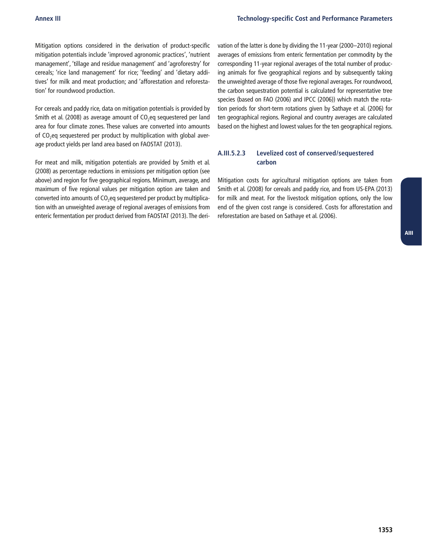<span id="page-24-0"></span>Mitigation options considered in the derivation of product-specific mitigation potentials include 'improved agronomic practices', 'nutrient management', 'tillage and residue management' and 'agroforestry' for cereals; 'rice land management' for rice; 'feeding' and 'dietary additives' for milk and meat production; and 'afforestation and reforestation' for roundwood production.

For cereals and paddy rice, data on mitigation potentials is provided by Smith et al. (2008) as average amount of  $CO<sub>2</sub>$ eq sequestered per land area for four climate zones. These values are converted into amounts of  $CO<sub>2</sub>$ eq sequestered per product by multiplication with global average product yields per land area based on FAOSTAT (2013).

For meat and milk, mitigation potentials are provided by Smith et al. (2008) as percentage reductions in emissions per mitigation option (see above) and region for five geographical regions. Minimum, average, and maximum of five regional values per mitigation option are taken and converted into amounts of CO<sub>2</sub>eq sequestered per product by multiplication with an unweighted average of regional averages of emissions from enteric fermentation per product derived from FAOSTAT (2013). The derivation of the latter is done by dividing the 11-year (2000–2010) regional averages of emissions from enteric fermentation per commodity by the corresponding 11-year regional averages of the total number of producing animals for five geographical regions and by subsequently taking the unweighted average of those five regional averages. For roundwood, the carbon sequestration potential is calculated for representative tree species (based on FAO (2006) and IPCC (2006)) which match the rotation periods for short-term rotations given by Sathaye et al. (2006) for ten geographical regions. Regional and country averages are calculated based on the highest and lowest values for the ten geographical regions.

#### **A.III.5.2.3 Levelized cost of conserved/sequestered carbon**

Mitigation costs for agricultural mitigation options are taken from Smith et al. (2008) for cereals and paddy rice, and from US-EPA (2013) for milk and meat. For the livestock mitigation options, only the low end of the given cost range is considered. Costs for afforestation and reforestation are based on Sathaye et al. (2006).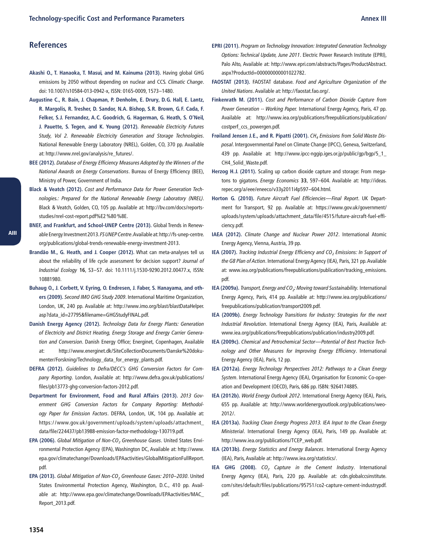#### <span id="page-25-0"></span>**References**

- **Akashi O., T. Hanaoka, T. Masui, and M. Kainuma (2013).** Having global GHG emissions by 2050 without depending on nuclear and CCS. Climatic Change. doi: 10.1007/s10584**-**013**-**0942-x, ISSN: 0165**-**0009, 1573–1480.
- **Augustine C., R. Bain, J. Chapman, P. Denholm, E. Drury, D.G. Hall, E. Lantz, R. Margolis, R. Tresher, D. Sandor, N.A. Bishop, S.R. Brown, G.F. Cada, F. Felker, S.J. Fernandez, A.C. Goodrich, G. Hagerman, G. Heath, S. O'Neil, J. Pauette, S. Tegen, and K. Young (2012).** Renewable Electricity Futures Study, Vol 2. Renewable Electricity Generation and Storage Technologies. National Renewable Energy Laboratory (NREL), Golden, CO, 370 pp. Available at: http://www.nrel.gov/analysis/re\_futures/.
- **BEE (2012).** Database of Energy Efficiency Measures Adopted by the Winners of the National Awards on Energy Conservations. Bureau of Energy Efficiency (BEE), Ministry of Power, Government of India.
- **Black & Veatch (2012).** Cost and Performance Data for Power Generation Technologies.: Prepared for the National Renewable Energy Laboratory (NREL). Black & Veatch, Golden, CO, 105 pp. Available at: [http:/ /bv.com/docs/reports](http://bv.com/docs/reports-studies/nrel-cost-report.pdf%E2%80%8E)[studies/nrel-cost-report.pdf%E2%80%8E.](http://bv.com/docs/reports-studies/nrel-cost-report.pdf%E2%80%8E)
- **BNEF, and Frankfurt, and School-UNEP Centre (2013).** Global Trends in Renewable Energy Investment 2013. FS UNEP Centre. Available at: http://fs-unep-centre. [org/publications/global-trends-renewable-energy-investment-2013](http://fs-unep-centre.org/publications/global-trends-renewable-energy-investment-2013).
- **Brandão M., G. Heath, and J. Cooper (2012).** What can meta-analyses tell us about the reliability of life cycle assessment for decision support? Journal of Industrial Ecology **16**, S3–S7. doi: 10.1111/j.1530**-**9290.2012.00477.x, ISSN: 10881980.
- **Buhaug O., J. Corbett, V. Eyring, O. Endresen, J. Faber, S. Hanayama, and others (2009).** Second IMO GHG Study 2009. International Maritime Organization, London, UK, 240 pp. Available at: [http:/ /www.imo.org/blast/blastDataHelper.](http://www.imo.org/blast/blastDataHelper.asp?data_id=27795&filename=GHGStudyFINAL.pdf) [asp?data\\_id=27795&filename=GHGStudyFINAL.pdf.](http://www.imo.org/blast/blastDataHelper.asp?data_id=27795&filename=GHGStudyFINAL.pdf)
- **Danish Energy Agency (2012).** Technology Data for Energy Plants: Generation of Electricity and District Heating, Energy Storage and Energy Carrier Generation and Conversion. Danish Energy Office; Energinet, Copenhagen, Available at: [http:/ /www.energinet.dk/SiteCollectionDocuments/Danske%20doku](http://www.energinet.dk/SiteCollectionDocuments/Danske%20dokumenter/Forskning/Technology_data_for_energy_plants.pdf)[menter/Forskning/Technology\\_data\\_for\\_energy\\_plants.pdf.](http://www.energinet.dk/SiteCollectionDocuments/Danske%20dokumenter/Forskning/Technology_data_for_energy_plants.pdf)
- **DEFRA (2012).** Guidelines to Defra/DECC's GHG Conversion Factors for Company Reporting. London, Available at: http://www.defra.gov.uk/publications/ [files/pb13773-ghg-conversion-factors-2012.pdf.](http://www.defra.gov.uk/publications/files/pb13773-ghg-conversion-factors-2012.pdf)
- **Department for Environment, Food and Rural Affairs (2013).** 2013 Government GHG Conversion Factors for Company Reporting: Methodology Paper for Emission Factors. DEFRA, London, UK, 104 pp. Available at: [https:/ /www.gov.uk/government/uploads/system/uploads/attachment\\_](https://www.gov.uk/government/uploads/system/uploads/attachment_data/file/224437/pb13988-emission-factor-methodology-130719.pdf) [data/file/224437/pb13988-emission-factor-methodology-130719.pdf](https://www.gov.uk/government/uploads/system/uploads/attachment_data/file/224437/pb13988-emission-factor-methodology-130719.pdf).
- **EPA (2006).** Global Mitigation of Non-CO*2* Greenhouse Gases. United States Environmental Protection Agency (EPA), Washington DC, Available at: [http:/ /www.](http://www.epa.gov/climatechange/Downloads/EPAactivities/GlobalMitigationFullReport.pdf) [epa.gov/climatechange/Downloads/EPAactivities/GlobalMitigationFullReport.](http://www.epa.gov/climatechange/Downloads/EPAactivities/GlobalMitigationFullReport.pdf) [pdf](http://www.epa.gov/climatechange/Downloads/EPAactivities/GlobalMitigationFullReport.pdf).
- **EPA (2013).** Global Mitigation of Non-CO*2* Greenhouse Gases: 2010–2030. United States Environmental Protection Agency, Washington, D.C., 410 pp. Available at: http://www.epa.gov/climatechange/Downloads/EPAactivities/MAC\_ [Report\\_2013.pdf.](http://www.epa.gov/climatechange/Downloads/EPAactivities/MAC_Report_2013.pdf)
- **EPRI (2011).** Program on Technology Innovation: Integrated Generation Technology Options: Technical Update, June 2011. Electric Power Research Institute (EPRI), Palo Alto, Available at: [http:/ /www.epri.com/abstracts/Pages/ProductAbstract.](http://www.epri.com/abstracts/Pages/ProductAbstract.aspx?ProductId=000000000001022782) [aspx?ProductId=000000000001022782](http://www.epri.com/abstracts/Pages/ProductAbstract.aspx?ProductId=000000000001022782).
- **FAOSTAT (2013).** FAOSTAT database. Food and Agriculture Organization of the United Nations. Available at: [http:/ /faostat.fao.org/.](http://faostat.fao.org/)
- **Finkenrath M. (2011).** Cost and Performance of Carbon Dioxide Capture from Power Generation -- Working Paper. International Energy Agency, Paris, 47 pp. Available at: [http:/ /www.iea.org/publications/freepublications/publication/](http://www.iea.org/publications/freepublications/publication/costperf_ccs_powergen.pdf) [costperf\\_ccs\\_powergen.pdf.](http://www.iea.org/publications/freepublications/publication/costperf_ccs_powergen.pdf)
- **Frøiland Jensen J.E., and R. Pipatti (2001).** CH*4* Emissions from Solid Waste Disposal. Intergovernmental Panel on Climate Change (IPCC), Geneva, Switzerland, 439 pp. Available at: http://www.ipcc-nggip.iges.or.jp/public/gp/bgp/5\_1\_ [CH4\\_Solid\\_Waste.pdf.](http://www.ipcc-nggip.iges.or.jp/public/gp/bgp/5_1_CH4_Solid_Waste.pdf)
- **Herzog H.J. (2011).** Scaling up carbon dioxide capture and storage: From megatons to gigatons. Energy Economics **33**, 597–604. Available at: [http:/ /ideas.](http://ideas.repec.org/a/eee/eneeco/v33y2011i4p597-604.html) [repec.org/a/eee/eneeco/v33y2011i4p597–604.html.](http://ideas.repec.org/a/eee/eneeco/v33y2011i4p597-604.html)
- **Horton G. (2010).** Future Aircraft Fuel Efficiencies—Final Report. UK Department for Transport, 92 pp. Available at: [https:/ /www.gov.uk/government/](https://www.gov.uk/government/uploads/system/uploads/attachment_data/file/4515/future-aircraft-fuel-efficiency.pdf) [uploads/system/uploads/attachment\\_data/file/4515/future-aircraft-fuel-effi](https://www.gov.uk/government/uploads/system/uploads/attachment_data/file/4515/future-aircraft-fuel-efficiency.pdf)[ciency.pdf.](https://www.gov.uk/government/uploads/system/uploads/attachment_data/file/4515/future-aircraft-fuel-efficiency.pdf)
- IAEA (2012). Climate Change and Nuclear Power 2012. International Atomic Energy Agency, Vienna, Austria, 39 pp.
- **IEA (2007).** Tracking Industrial Energy Efficiency and CO<sub>2</sub> Emissions: In Support of the G8 Plan of Action. International Energy Agency (IEA), Paris, 321 pp. Available at: [www.iea.org/publications/freepublications/publication/tracking\\_emissions.](http://www.iea.org/publications/freepublications/publication/tracking_emissions.pdf) [pdf](http://www.iea.org/publications/freepublications/publication/tracking_emissions.pdf).
- **IEA (2009a).** Transport, Energy and CO*2*: Moving toward Sustainability. International Energy Agency, Paris, 414 pp. Available at: [http:/ /www.iea.org/publications/](http://www.iea.org/publications/freepublications/publication/transport2009.pdf) [freepublications/publication/transport2009.pdf.](http://www.iea.org/publications/freepublications/publication/transport2009.pdf)
- **IEA (2009b).** Energy Technology Transitions for Industry: Strategies for the next Industrial Revolution. International Energy Agency (IEA), Paris, Available at: [www.iea.org/publications/freepublications/publication/industry2009.pdf.](http://www.iea.org/publications/freepublications/publication/industry2009.pdf)
- **IEA (2009c).** Chemical and Petrochemical Sector—Potential of Best Practice Technology and Other Measures for Improving Energy Efficiency. International Energy Agency (IEA), Paris, 12 pp.
- **IEA (2012a).** Energy Technology Perspectives 2012: Pathways to a Clean Energy System. International Energy Agency (IEA), Organisation for Economic Co-operation and Development (OECD), Paris, 686 pp. ISBN: 9264174885.
- **IEA (2012b).** World Energy Outlook 2012. International Energy Agency (IEA), Paris, 655 pp. Available at: [http:/ /www.worldenergyoutlook.org/publications/weo-](http://www.worldenergyoutlook.org/publications/weo-2012/)[2012/.](http://www.worldenergyoutlook.org/publications/weo-2012/)
- **IEA (2013a).** Tracking Clean Energy Progress 2013. IEA Input to the Clean Energy Ministerial. International Energy Agency (IEA), Paris, 149 pp. Available at: [http:/ /www.iea.org/publications/TCEP\\_web.pdf](http://www.iea.org/publications/TCEP_web.pdf).
- **IEA (2013b).** Energy Statistics and Energy Balances. International Energy Agency (IEA), Paris, Available at: [http:/ /www.iea.org/statistics/](http://www.iea.org/statistics/).
- IEA GHG (2008). CO<sub>2</sub> Capture in the Cement Industry. International Energy Agency (IEA), Paris, 220 pp. Available at: [cdn.globalccsinstitute.](cdn.globalccsinstitute.com/sites/default/files/publications/95751/co2-capture-cement-industrypdf.pdf) [com/sites/default/files/publications/95751/co2-capture-cement-industrypdf.](cdn.globalccsinstitute.com/sites/default/files/publications/95751/co2-capture-cement-industrypdf.pdf) [pdf](cdn.globalccsinstitute.com/sites/default/files/publications/95751/co2-capture-cement-industrypdf.pdf).

AIII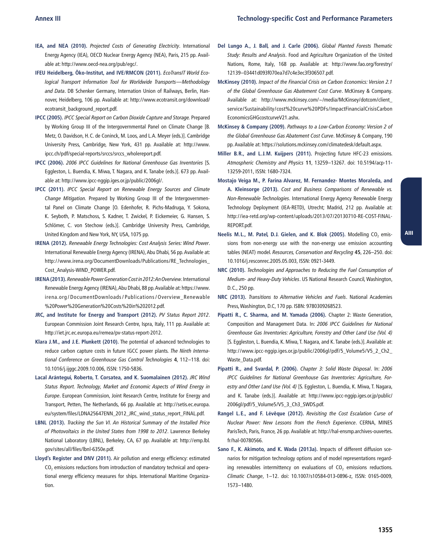- IEA, and NEA (2010). Projected Costs of Generating Electricity. International Energy Agency (IEA), OECD Nuclear Energy Agency (NEA), Paris, 215 pp. Available at: [http:/ /www.oecd-nea.org/pub/egc/.](http://www.oecd-nea.org/pub/egc/)
- **IFEU Heidelberg, Öko-Institut, and IVE/RMCON (2011).** EcoTransIT World Ecological Transport Information Tool for Worldwide Transports—Methodology and Data. DB Schenker Germany, Internation Union of Railways, Berlin, Hannover, Heidelberg, 106 pp. Available at: [http:/ /www.ecotransit.org/download/](http://www.ecotransit.org/download/ecotransit_background_report.pdf) [ecotransit\\_background\\_report.pdf.](http://www.ecotransit.org/download/ecotransit_background_report.pdf)
- **IPCC (2005).** IPCC Special Report on Carbon Dioxide Capture and Storage. Prepared by Working Group III of the Intergovernmental Panel on Climate Change [B. Metz, O. Davidson, H.C. de Coninck, M. Loos, and L.A. Meyer (eds.)]. Cambridge University Press, Cambridge, New York, 431 pp. Available at: http://www. [ipcc.ch/pdf/special-reports/srccs/srccs\\_wholereport.pdf.](http://www.ipcc.ch/pdf/special-reports/srccs/srccs_wholereport.pdf)
- **IPCC (2006).** 2006 IPCC Guidelines for National Greenhouse Gas Inventories [S. Eggleston, L. Buendia, K. Miwa, T. Nagara, and K. Tanabe (eds.)]. 673 pp. Available at: [http:/ /www.ipcc-nggip.iges.or.jp/public/2006gl/](http://www.ipcc-nggip.iges.or.jp/public/2006gl/).
- **IPCC (2011).** IPCC Special Report on Renewable Energy Sources and Climate Change Mitigation. Prepared by Working Group III of the Intergovernmental Panel on Climate Change [O. Edenhofer, R. Pichs-Madruga, Y. Sokona, K. Seyboth, P. Matschoss, S. Kadner, T. Zwickel, P. Eickemeier, G. Hansen, S. Schlömer, C. von Stechow (eds.)]. Cambridge University Press, Cambridge, United Kingdom and New York, NY, USA, 1075 pp.
- **IRENA (2012).** Renewable Energy Technologies: Cost Analysis Series: Wind Power. International Renewable Energy Agency (IRENA), Abu Dhabi, 56 pp. Available at: [http:/ /www.irena.org/DocumentDownloads/Publications/RE\\_Technologies\\_](http://www.irena.org/DocumentDownloads/Publications/RE_Technologies_Cost_Analysis-WIND_POWER.pdf) [Cost\\_Analysis-WIND\\_POWER.pdf](http://www.irena.org/DocumentDownloads/Publications/RE_Technologies_Cost_Analysis-WIND_POWER.pdf).
- **IRENA (2013).** Renewable Power Generation Cost in 2012: An Overview. International Renewable Energy Agency (IRENA), Abu Dhabi, 88 pp. Available at: [https:/ /www.](https://www.irena.org/DocumentDownloads/Publications/Overview_Renewable%20Power%20Generation%20Costs%20in%202012.pdf) irena.org / [DocumentDownloads/](https://www.irena.org/DocumentDownloads/Publications/Overview_Renewable%20Power%20Generation%20Costs%20in%202012.pdf) Publications/ Overview\_Renewable [%20Power%20Generation%20Costs%20in%202012.pdf.](https://www.irena.org/DocumentDownloads/Publications/Overview_Renewable%20Power%20Generation%20Costs%20in%202012.pdf)
- **JRC, and Institute for Energy and Transport (2012).** PV Status Report 2012. European Commission Joint Research Centre, Ispra, Italy, 111 pp. Available at: [http:/ /iet.jrc.ec.europa.eu/remea/pv-status-report-2012.](http://iet.jrc.ec.europa.eu/remea/pv-status-report-2012)
- **Klara J.M., and J.E. Plunkett (2010).** The potential of advanced technologies to reduce carbon capture costs in future IGCC power plants. The Ninth International Conference on Greenhouse Gas Control Technologies **4**, 112–118. doi: 10.1016/j.ijggc.2009.10.006, ISSN: 1750**-**5836.
- **Lacal Arántegui, Roberto, T. Corsatea, and K. Suomalainen (2012).** JRC Wind Status Report. Technology, Market and Economic Aspects of Wind Energy in Europe. European Commission, Joint Research Centre, Institute for Energy and Transport, Petten, The Netherlands, 66 pp. Available at: http://setis.ec.europa. [eu/system/files/LDNA25647ENN\\_2012\\_JRC\\_wind\\_status\\_report\\_FINAL.pdf](http://setis.ec.europa.eu/system/files/LDNA25647ENN_2012_JRC_wind_status_report_FINAL.pdf).
- LBNL (2013). Tracking the Sun VI. An Historical Summary of the Installed Price of Photovoltaics in the United States from 1998 to 2012. Lawrence Berkeley National Laboratory (LBNL), Berkeley, CA, 67 pp. Available at: [http:/ /emp.lbl.](http://emp.lbl.gov/sites/all/files/lbnl-6350e.pdf) [gov/sites/all/files/lbnl-6350e.pdf](http://emp.lbl.gov/sites/all/files/lbnl-6350e.pdf).
- **Lloyd's Register and DNV (2011).** Air pollution and energy efficiency: estimated CO<sub>2</sub> emissions reductions from introduction of mandatory technical and operational energy efficiency measures for ships. International Maritime Organization.
- **Del Lungo A., J. Ball, and J. Carle (2006).** Global Planted Forests Thematic Study: Results and Analysis. Food and Agriculture Organization of the United Nations, Rome, Italy, 168 pp. Available at: http://www.fao.org/forestry/ [12139–03441d093f070ea7d7c4e3ec3f306507.pdf.](http://www.fao.org/forestry/12139-03441d093f070ea7d7c4e3ec3f306507.pdf)
- **McKinsey (2010).** Impact of the Financial Crisis on Carbon Economics: Version 2.1 of the Global Greenhouse Gas Abatement Cost Curve. McKinsey & Company. Available at: http://www.mckinsey.com/~/media/McKinsey/dotcom/client\_ [service/Sustainability/cost%20curve%20PDFs/ImpactFinancialCrisisCarbon](http://www.mckinsey.com/~/media/McKinsey/dotcom/client_service/Sustainability/cost%20curve%20PDFs/ImpactFinancialCrisisCarbonEconomicsGHGcostcurveV21.ashx) [EconomicsGHGcostcurveV21.ashx.](http://www.mckinsey.com/~/media/McKinsey/dotcom/client_service/Sustainability/cost%20curve%20PDFs/ImpactFinancialCrisisCarbonEconomicsGHGcostcurveV21.ashx)
- **McKinsey & Company (2009).** Pathways to a Low-Carbon Economy: Version 2 of the Global Greenhouse Gas Abatement Cost Curve. McKinsey & Company, 190 pp. Available at: [https:/ /solutions.mckinsey.com/climatedesk/default.aspx.](https://solutions.mckinsey.com/climatedesk/default.aspx)
- **Miller B.R., and L.J.M. Kuijpers (2011).** Projecting future HFC-23 emissions. Atmospheric Chemistry and Physics **11**, 13259–13267. doi: 10.5194/acp-11**-** 13259**-**2011, ISSN: 1680**-**7324.
- **Mostajo Veiga M., P. Farina Alvarez, M. Fernandez- Montes Moraleda, and A. Kleinsorge (2013).** Cost and Business Comparisons of Renewable vs. Non-Renewable Technologies. International Energy Agency Renewable Energy Technology Deployment (IEA-RETD), Utrecht; Madrid, 212 pp. Available at: [http:/ /iea-retd.org/wp-content/uploads/2013/07/20130710-RE-COST-FINAL-](http://iea-retd.org/wp-content/uploads/2013/07/20130710-RE-COST-FINAL-REPORT.pdf)[REPORT.pdf.](http://iea-retd.org/wp-content/uploads/2013/07/20130710-RE-COST-FINAL-REPORT.pdf)
- Neelis M.L., M. Patel, D.J. Gielen, and K. Blok (2005). Modelling CO<sub>2</sub> emissions from non-energy use with the non-energy use emission accounting tables (NEAT) model. Resources, Conservation and Recycling **45**, 226–250. doi: 10.1016/j.resconrec.2005.05.003, ISSN: 0921**-**3449.
- **NRC (2010).** Technologies and Approaches to Reducing the Fuel Consumption of Medium- and Heavy-Duty Vehicles. US National Research Council, Washington, D.C., 250 pp.
- **NRC (2013).** Transitions to Alternative Vehicles and Fuels. National Academies Press, Washington, D.C, 170 pp. ISBN: 9780309268523.
- **Pipatti R., C. Sharma, and M. Yamada (2006).** Chapter 2: Waste Generation, Composition and Management Data. In: 2006 IPCC Guidelines for National Greenhouse Gas Inventories: Agriculture, Forestry and Other Land Use (Vol. 4) [S. Eggleston, L. Buendia, K. Miwa, T. Nagara, and K. Tanabe (eds.)]. Available at: http://www.ipcc-nggip.iges.or.jp/public/2006gl/pdf/5\_Volume5/V5\_2\_Ch2 [Waste\\_Data.pdf.](http://www.ipcc-nggip.iges.or.jp/public/2006gl/pdf/5_Volume5/V5_2_Ch2_Waste_Data.pdf)
- **Pipatti R., and Svardal, P. (2006).** Chapter 3: Solid Waste Disposal. In: 2006 IPCC Guidelines for National Greenhouse Gas Inventories: Agriculture, Forestry and Other Land Use (Vol. 4) [S. Eggleston, L. Buendia, K. Miwa, T. Nagara, and K. Tanabe (eds.)]. Available at: [http:/ /www.ipcc-nggip.iges.or.jp/public/](http://www.ipcc-nggip.iges.or.jp/public/2006gl/pdf/5_Volume5/V5_3_Ch3_SWDS.pdf) [2006gl/pdf/5\\_Volume5/V5\\_3\\_Ch3\\_SWDS.pdf.](http://www.ipcc-nggip.iges.or.jp/public/2006gl/pdf/5_Volume5/V5_3_Ch3_SWDS.pdf)
- **Rangel L.E., and F. Lévêque (2012).** Revisiting the Cost Escalation Curse of Nuclear Power: New Lessons from the French Experience. CERNA, MINES ParisTech, Paris, France, 26 pp. Available at: [http:/ /hal-ensmp.archives-ouvertes.](http://hal-ensmp.archives-ouvertes.fr/hal-00780566) [fr/hal-00780566.](http://hal-ensmp.archives-ouvertes.fr/hal-00780566)
- **Sano F., K. Akimoto, and K. Wada (2013a).** Impacts of different diffusion scenarios for mitigation technology options and of model representations regarding renewables intermittency on evaluations of  $CO<sub>2</sub>$  emissions reductions. Climatic Change, 1–12. doi: 10.1007/s10584**-**013**-**0896-z, ISSN: 0165**-**0009, 1573–1480.